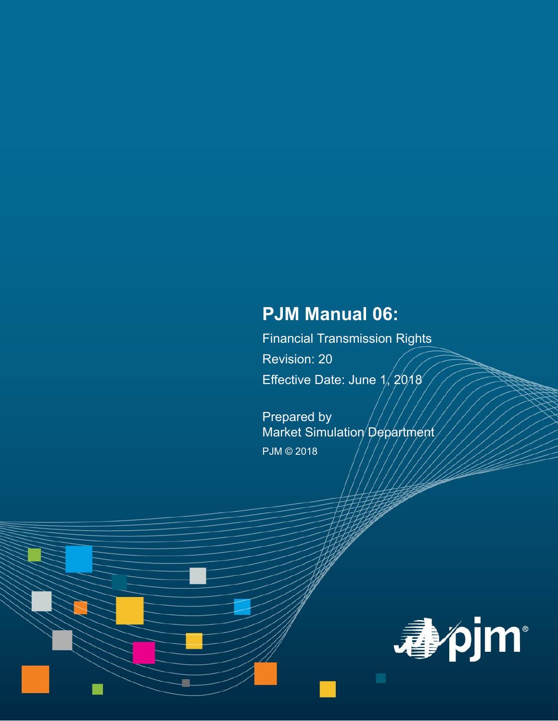# **PJM Manual 06:**

Financial Transmission Rights Revision: 20 Effective Date: June 1, 2018

Prepared by Market Simulation Department PJM © 2018

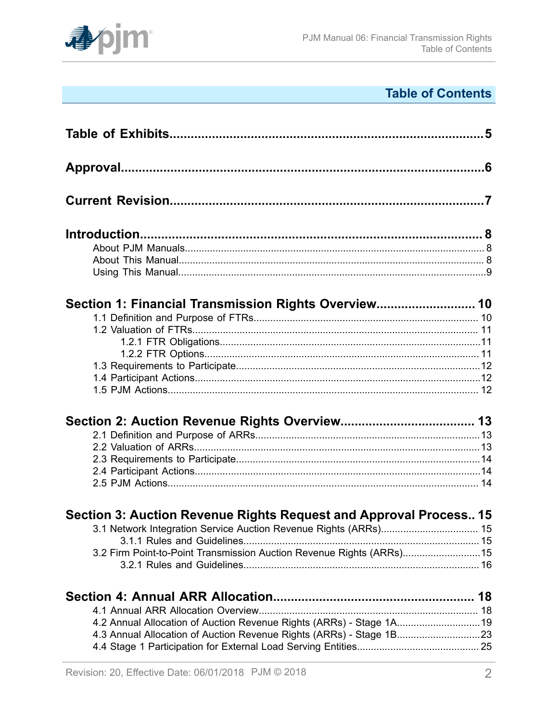

# **Table of Contents**

| Section 1: Financial Transmission Rights Overview 10                  |  |
|-----------------------------------------------------------------------|--|
|                                                                       |  |
|                                                                       |  |
|                                                                       |  |
|                                                                       |  |
|                                                                       |  |
|                                                                       |  |
|                                                                       |  |
|                                                                       |  |
|                                                                       |  |
|                                                                       |  |
|                                                                       |  |
|                                                                       |  |
|                                                                       |  |
| Section 3: Auction Revenue Rights Request and Approval Process 15     |  |
| 3.1 Network Integration Service Auction Revenue Rights (ARRs) 15      |  |
|                                                                       |  |
| 3.2 Firm Point-to-Point Transmission Auction Revenue Rights (ARRs) 15 |  |
|                                                                       |  |
|                                                                       |  |
|                                                                       |  |
| 4.2 Annual Allocation of Auction Revenue Rights (ARRs) - Stage 1A 19  |  |
| 4.3 Annual Allocation of Auction Revenue Rights (ARRs) - Stage 1B23   |  |
|                                                                       |  |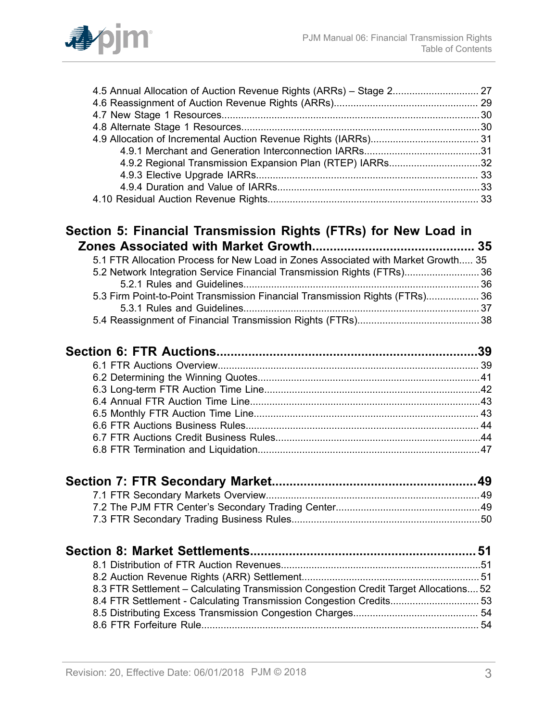

| 4.9.2 Regional Transmission Expansion Plan (RTEP) IARRs32                         |  |
|-----------------------------------------------------------------------------------|--|
|                                                                                   |  |
|                                                                                   |  |
|                                                                                   |  |
| Section 5: Financial Transmission Rights (FTRs) for New Load in                   |  |
|                                                                                   |  |
| 5.1 FTR Allocation Process for New Load in Zones Associated with Market Growth 35 |  |
| 5.2 Network Integration Service Financial Transmission Rights (FTRs) 36           |  |
|                                                                                   |  |
| 5.3 Firm Point-to-Point Transmission Financial Transmission Rights (FTRs) 36      |  |
|                                                                                   |  |
|                                                                                   |  |
|                                                                                   |  |
|                                                                                   |  |
|                                                                                   |  |
|                                                                                   |  |
|                                                                                   |  |
|                                                                                   |  |
|                                                                                   |  |
|                                                                                   |  |
|                                                                                   |  |
|                                                                                   |  |
|                                                                                   |  |
|                                                                                   |  |
|                                                                                   |  |

| 8.3 FTR Settlement - Calculating Transmission Congestion Credit Target Allocations 52 |  |
|---------------------------------------------------------------------------------------|--|
|                                                                                       |  |
|                                                                                       |  |
|                                                                                       |  |

7.3 FTR Secondary Trading Business [Rules....................................................................50](#page-49-0)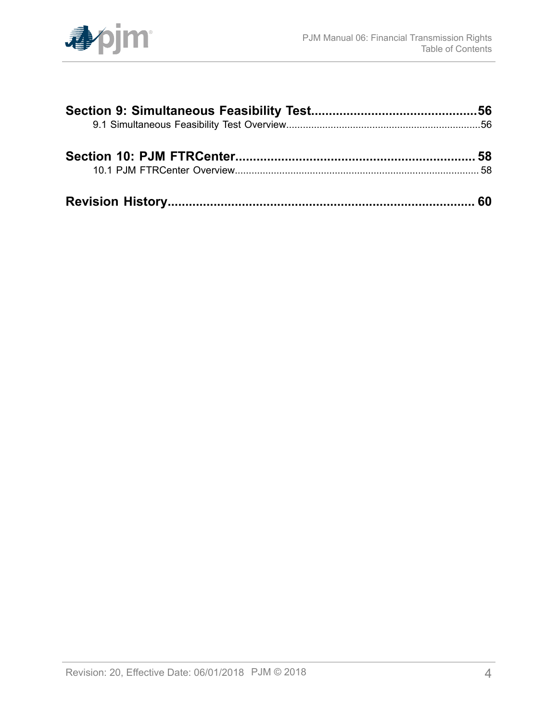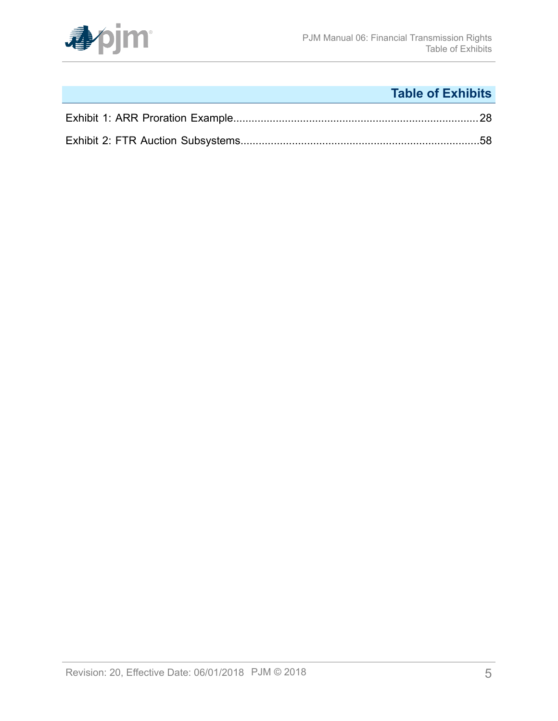

# **Table of Exhibits**

<span id="page-4-0"></span>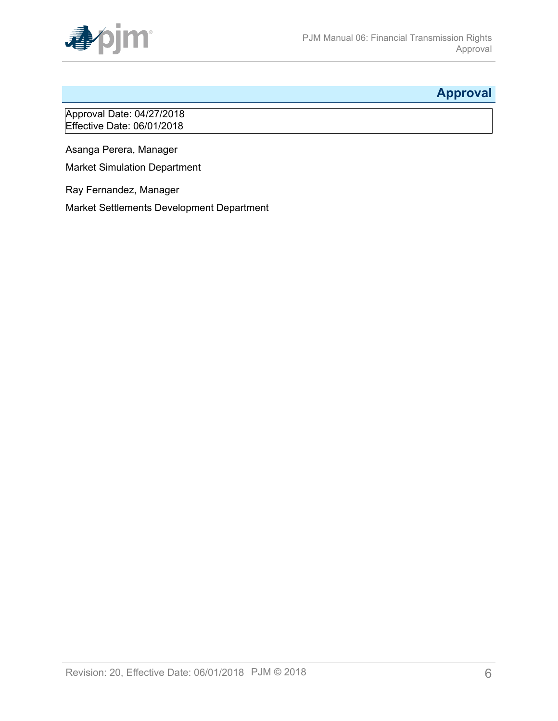

## <span id="page-5-0"></span>**Approval**

Approval Date: 04/27/2018 Effective Date: 06/01/2018

Asanga Perera, Manager

Market Simulation Department

Ray Fernandez, Manager

Market Settlements Development Department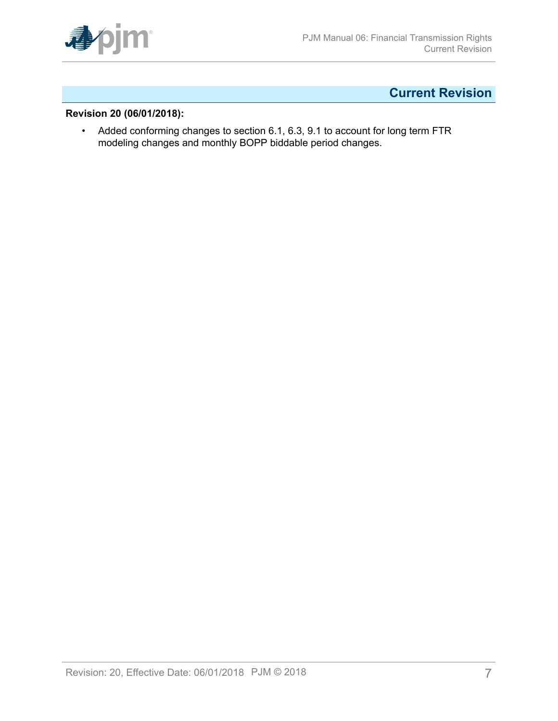

## <span id="page-6-0"></span>**Current Revision**

### **Revision 20 (06/01/2018):**

• Added conforming changes to section 6.1, 6.3, 9.1 to account for long term FTR modeling changes and monthly BOPP biddable period changes.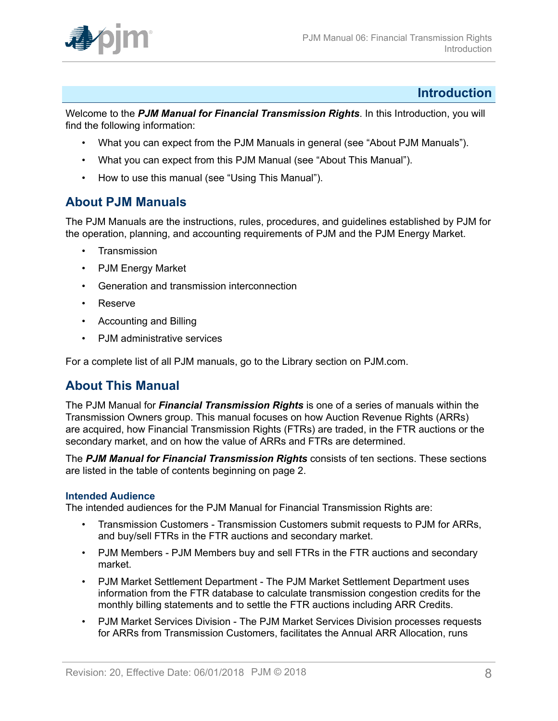

### <span id="page-7-0"></span>**Introduction**

Welcome to the *PJM Manual for Financial Transmission Rights*. In this Introduction, you will find the following information:

- What you can expect from the PJM Manuals in general (see "About PJM Manuals").
- What you can expect from this PJM Manual (see "About This Manual").
- How to use this manual (see "Using This Manual").

### <span id="page-7-1"></span>**About PJM Manuals**

The PJM Manuals are the instructions, rules, procedures, and guidelines established by PJM for the operation, planning, and accounting requirements of PJM and the PJM Energy Market.

- **Transmission**
- PJM Energy Market
- Generation and transmission interconnection
- Reserve
- Accounting and Billing
- PJM administrative services

For a complete list of all PJM manuals, go to the Library section on PJM.com.

### <span id="page-7-2"></span>**About This Manual**

The PJM Manual for *Financial Transmission Rights* is one of a series of manuals within the Transmission Owners group. This manual focuses on how Auction Revenue Rights (ARRs) are acquired, how Financial Transmission Rights (FTRs) are traded, in the FTR auctions or the secondary market, and on how the value of ARRs and FTRs are determined.

The *PJM Manual for Financial Transmission Rights* consists of ten sections. These sections are listed in the table of contents beginning on page 2.

#### **Intended Audience**

The intended audiences for the PJM Manual for Financial Transmission Rights are:

- Transmission Customers Transmission Customers submit requests to PJM for ARRs, and buy/sell FTRs in the FTR auctions and secondary market.
- PJM Members PJM Members buy and sell FTRs in the FTR auctions and secondary market.
- PJM Market Settlement Department The PJM Market Settlement Department uses information from the FTR database to calculate transmission congestion credits for the monthly billing statements and to settle the FTR auctions including ARR Credits.
- PJM Market Services Division The PJM Market Services Division processes requests for ARRs from Transmission Customers, facilitates the Annual ARR Allocation, runs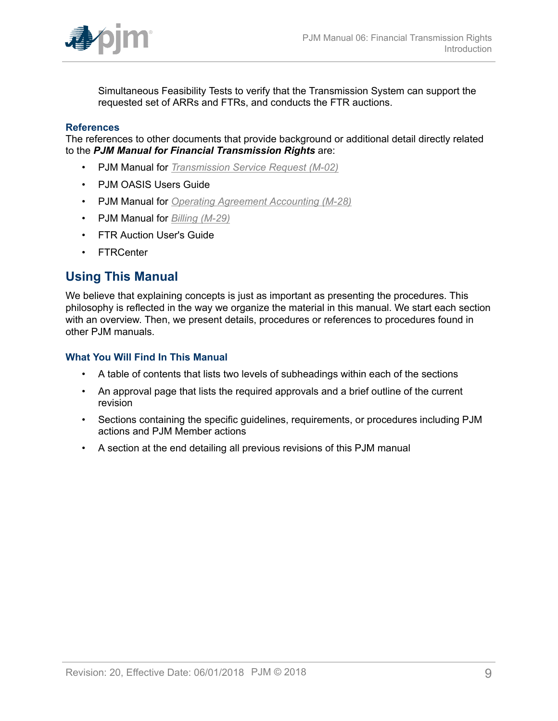

Simultaneous Feasibility Tests to verify that the Transmission System can support the requested set of ARRs and FTRs, and conducts the FTR auctions.

#### **References**

The references to other documents that provide background or additional detail directly related to the *PJM Manual for Financial Transmission Rights* are:

- PJM Manual for *[Transmission](http://www.pjm.com/~/media/documents/manuals/m02.ashx) Service Request (M-02)*
- PJM OASIS Users Guide
- PJM Manual for *[Operating Agreement Accounting \(M-28\)](http://www.pjm.com/~/media/documents/manuals/m28.ashx)*
- PJM Manual for *[Billing \(M-29\)](http://www.pjm.com/~/media/documents/manuals/m29.ashx)*
- FTR Auction User's Guide
- FTRCenter

### <span id="page-8-0"></span>**Using This Manual**

We believe that explaining concepts is just as important as presenting the procedures. This philosophy is reflected in the way we organize the material in this manual. We start each section with an overview. Then, we present details, procedures or references to procedures found in other PJM manuals.

#### **What You Will Find In This Manual**

- A table of contents that lists two levels of subheadings within each of the sections
- An approval page that lists the required approvals and a brief outline of the current revision
- Sections containing the specific guidelines, requirements, or procedures including PJM actions and PJM Member actions
- A section at the end detailing all previous revisions of this PJM manual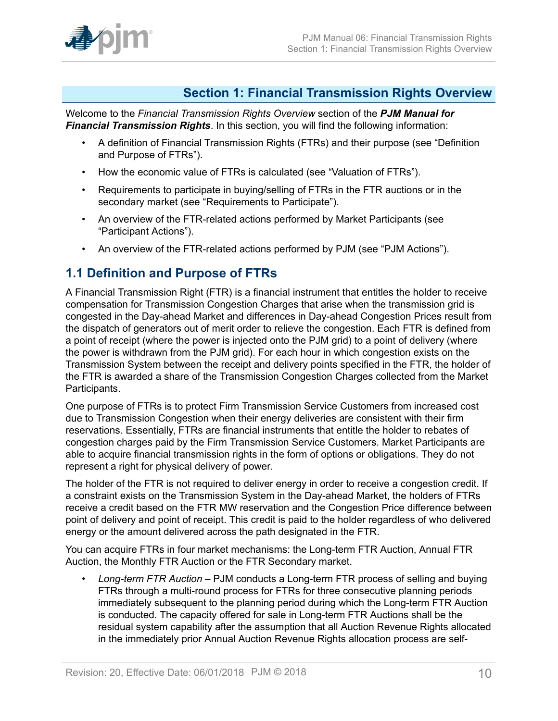

### <span id="page-9-0"></span>**Section 1: Financial Transmission Rights Overview**

Welcome to the *Financial Transmission Rights Overview* section of the *PJM Manual for Financial Transmission Rights*. In this section, you will find the following information:

- A definition of Financial Transmission Rights (FTRs) and their purpose (see "Definition and Purpose of FTRs").
- How the economic value of FTRs is calculated (see "Valuation of FTRs").
- Requirements to participate in buying/selling of FTRs in the FTR auctions or in the secondary market (see "Requirements to Participate").
- An overview of the FTR-related actions performed by Market Participants (see "Participant Actions").
- An overview of the FTR-related actions performed by PJM (see "PJM Actions").

### <span id="page-9-1"></span>**1.1 Definition and Purpose of FTRs**

A Financial Transmission Right (FTR) is a financial instrument that entitles the holder to receive compensation for Transmission Congestion Charges that arise when the transmission grid is congested in the Day-ahead Market and differences in Day-ahead Congestion Prices result from the dispatch of generators out of merit order to relieve the congestion. Each FTR is defined from a point of receipt (where the power is injected onto the PJM grid) to a point of delivery (where the power is withdrawn from the PJM grid). For each hour in which congestion exists on the Transmission System between the receipt and delivery points specified in the FTR, the holder of the FTR is awarded a share of the Transmission Congestion Charges collected from the Market Participants.

One purpose of FTRs is to protect Firm Transmission Service Customers from increased cost due to Transmission Congestion when their energy deliveries are consistent with their firm reservations. Essentially, FTRs are financial instruments that entitle the holder to rebates of congestion charges paid by the Firm Transmission Service Customers. Market Participants are able to acquire financial transmission rights in the form of options or obligations. They do not represent a right for physical delivery of power.

The holder of the FTR is not required to deliver energy in order to receive a congestion credit. If a constraint exists on the Transmission System in the Day-ahead Market, the holders of FTRs receive a credit based on the FTR MW reservation and the Congestion Price difference between point of delivery and point of receipt. This credit is paid to the holder regardless of who delivered energy or the amount delivered across the path designated in the FTR.

You can acquire FTRs in four market mechanisms: the Long-term FTR Auction, Annual FTR Auction, the Monthly FTR Auction or the FTR Secondary market.

• *Long-term FTR Auction* – PJM conducts a Long-term FTR process of selling and buying FTRs through a multi-round process for FTRs for three consecutive planning periods immediately subsequent to the planning period during which the Long-term FTR Auction is conducted. The capacity offered for sale in Long-term FTR Auctions shall be the residual system capability after the assumption that all Auction Revenue Rights allocated in the immediately prior Annual Auction Revenue Rights allocation process are self-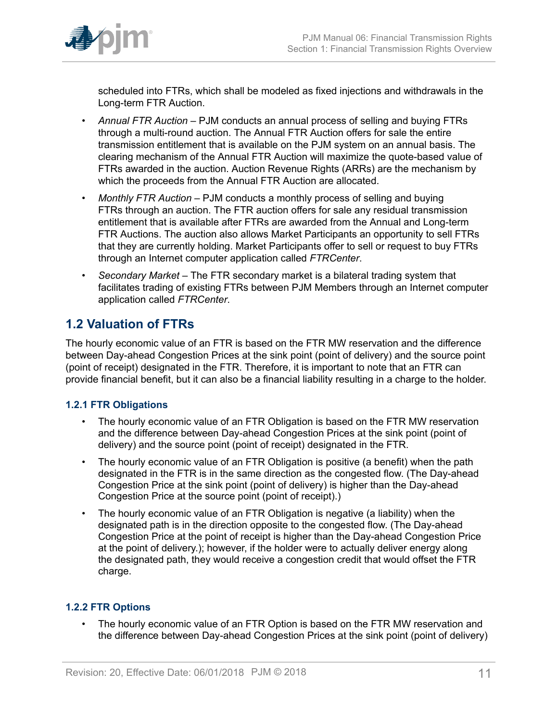

scheduled into FTRs, which shall be modeled as fixed injections and withdrawals in the Long-term FTR Auction.

- *Annual FTR Auction –* PJM conducts an annual process of selling and buying FTRs through a multi-round auction. The Annual FTR Auction offers for sale the entire transmission entitlement that is available on the PJM system on an annual basis. The clearing mechanism of the Annual FTR Auction will maximize the quote-based value of FTRs awarded in the auction. Auction Revenue Rights (ARRs) are the mechanism by which the proceeds from the Annual FTR Auction are allocated.
- *Monthly FTR Auction –* PJM conducts a monthly process of selling and buying FTRs through an auction. The FTR auction offers for sale any residual transmission entitlement that is available after FTRs are awarded from the Annual and Long-term FTR Auctions. The auction also allows Market Participants an opportunity to sell FTRs that they are currently holding. Market Participants offer to sell or request to buy FTRs through an Internet computer application called *FTRCenter*.
- *Secondary Market –* The FTR secondary market is a bilateral trading system that facilitates trading of existing FTRs between PJM Members through an Internet computer application called *FTRCenter*.

### <span id="page-10-0"></span>**1.2 Valuation of FTRs**

The hourly economic value of an FTR is based on the FTR MW reservation and the difference between Day-ahead Congestion Prices at the sink point (point of delivery) and the source point (point of receipt) designated in the FTR. Therefore, it is important to note that an FTR can provide financial benefit, but it can also be a financial liability resulting in a charge to the holder.

### <span id="page-10-1"></span>**1.2.1 FTR Obligations**

- The hourly economic value of an FTR Obligation is based on the FTR MW reservation and the difference between Day-ahead Congestion Prices at the sink point (point of delivery) and the source point (point of receipt) designated in the FTR.
- The hourly economic value of an FTR Obligation is positive (a benefit) when the path designated in the FTR is in the same direction as the congested flow. (The Day-ahead Congestion Price at the sink point (point of delivery) is higher than the Day-ahead Congestion Price at the source point (point of receipt).)
- The hourly economic value of an FTR Obligation is negative (a liability) when the designated path is in the direction opposite to the congested flow. (The Day-ahead Congestion Price at the point of receipt is higher than the Day-ahead Congestion Price at the point of delivery.); however, if the holder were to actually deliver energy along the designated path, they would receive a congestion credit that would offset the FTR charge.

### <span id="page-10-2"></span>**1.2.2 FTR Options**

The hourly economic value of an FTR Option is based on the FTR MW reservation and the difference between Day-ahead Congestion Prices at the sink point (point of delivery)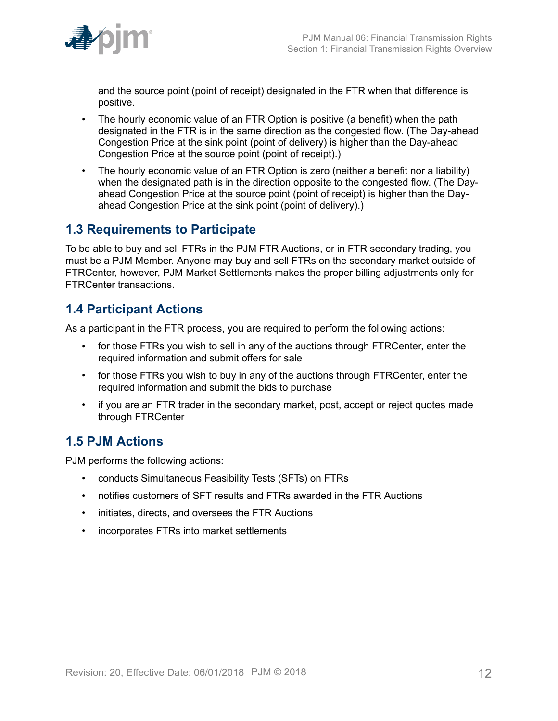

and the source point (point of receipt) designated in the FTR when that difference is positive.

- The hourly economic value of an FTR Option is positive (a benefit) when the path designated in the FTR is in the same direction as the congested flow. (The Day-ahead Congestion Price at the sink point (point of delivery) is higher than the Day-ahead Congestion Price at the source point (point of receipt).)
- The hourly economic value of an FTR Option is zero (neither a benefit nor a liability) when the designated path is in the direction opposite to the congested flow. (The Dayahead Congestion Price at the source point (point of receipt) is higher than the Dayahead Congestion Price at the sink point (point of delivery).)

## <span id="page-11-0"></span>**1.3 Requirements to Participate**

To be able to buy and sell FTRs in the PJM FTR Auctions, or in FTR secondary trading, you must be a PJM Member. Anyone may buy and sell FTRs on the secondary market outside of FTRCenter, however, PJM Market Settlements makes the proper billing adjustments only for FTRCenter transactions.

## <span id="page-11-1"></span>**1.4 Participant Actions**

As a participant in the FTR process, you are required to perform the following actions:

- for those FTRs you wish to sell in any of the auctions through FTRCenter, enter the required information and submit offers for sale
- for those FTRs you wish to buy in any of the auctions through FTRCenter, enter the required information and submit the bids to purchase
- if you are an FTR trader in the secondary market, post, accept or reject quotes made through FTRCenter

## <span id="page-11-2"></span>**1.5 PJM Actions**

PJM performs the following actions:

- conducts Simultaneous Feasibility Tests (SFTs) on FTRs
- notifies customers of SFT results and FTRs awarded in the FTR Auctions
- initiates, directs, and oversees the FTR Auctions
- incorporates FTRs into market settlements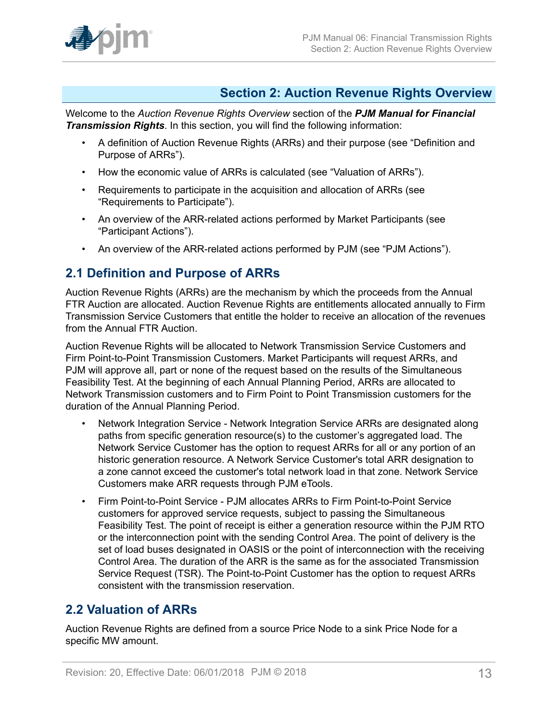

## <span id="page-12-0"></span>**Section 2: Auction Revenue Rights Overview**

Welcome to the *Auction Revenue Rights Overview* section of the *PJM Manual for Financial Transmission Rights*. In this section, you will find the following information:

- A definition of Auction Revenue Rights (ARRs) and their purpose (see "Definition and Purpose of ARRs").
- How the economic value of ARRs is calculated (see "Valuation of ARRs").
- Requirements to participate in the acquisition and allocation of ARRs (see "Requirements to Participate").
- An overview of the ARR-related actions performed by Market Participants (see "Participant Actions").
- An overview of the ARR-related actions performed by PJM (see "PJM Actions").

### <span id="page-12-1"></span>**2.1 Definition and Purpose of ARRs**

Auction Revenue Rights (ARRs) are the mechanism by which the proceeds from the Annual FTR Auction are allocated. Auction Revenue Rights are entitlements allocated annually to Firm Transmission Service Customers that entitle the holder to receive an allocation of the revenues from the Annual FTR Auction.

Auction Revenue Rights will be allocated to Network Transmission Service Customers and Firm Point-to-Point Transmission Customers. Market Participants will request ARRs, and PJM will approve all, part or none of the request based on the results of the Simultaneous Feasibility Test. At the beginning of each Annual Planning Period, ARRs are allocated to Network Transmission customers and to Firm Point to Point Transmission customers for the duration of the Annual Planning Period.

- Network Integration Service Network Integration Service ARRs are designated along paths from specific generation resource(s) to the customer's aggregated load. The Network Service Customer has the option to request ARRs for all or any portion of an historic generation resource. A Network Service Customer's total ARR designation to a zone cannot exceed the customer's total network load in that zone. Network Service Customers make ARR requests through PJM eTools.
- Firm Point-to-Point Service PJM allocates ARRs to Firm Point-to-Point Service customers for approved service requests, subject to passing the Simultaneous Feasibility Test. The point of receipt is either a generation resource within the PJM RTO or the interconnection point with the sending Control Area. The point of delivery is the set of load buses designated in OASIS or the point of interconnection with the receiving Control Area. The duration of the ARR is the same as for the associated Transmission Service Request (TSR). The Point-to-Point Customer has the option to request ARRs consistent with the transmission reservation.

### <span id="page-12-2"></span>**2.2 Valuation of ARRs**

Auction Revenue Rights are defined from a source Price Node to a sink Price Node for a specific MW amount.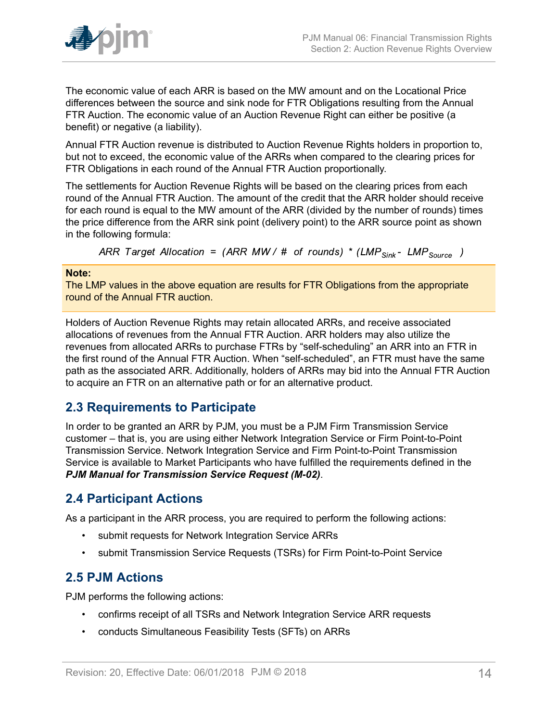

The economic value of each ARR is based on the MW amount and on the Locational Price differences between the source and sink node for FTR Obligations resulting from the Annual FTR Auction. The economic value of an Auction Revenue Right can either be positive (a benefit) or negative (a liability).

Annual FTR Auction revenue is distributed to Auction Revenue Rights holders in proportion to, but not to exceed, the economic value of the ARRs when compared to the clearing prices for FTR Obligations in each round of the Annual FTR Auction proportionally.

The settlements for Auction Revenue Rights will be based on the clearing prices from each round of the Annual FTR Auction. The amount of the credit that the ARR holder should receive for each round is equal to the MW amount of the ARR (divided by the number of rounds) times the price difference from the ARR sink point (delivery point) to the ARR source point as shown in the following formula:

ARR Target Allocation = (ARR MW/ # of rounds) \* (LMP<sub>Sink</sub> - LMP<sub>Source</sub>)

#### **Note:**

The LMP values in the above equation are results for FTR Obligations from the appropriate round of the Annual FTR auction.

Holders of Auction Revenue Rights may retain allocated ARRs, and receive associated allocations of revenues from the Annual FTR Auction. ARR holders may also utilize the revenues from allocated ARRs to purchase FTRs by "self-scheduling" an ARR into an FTR in the first round of the Annual FTR Auction. When "self-scheduled", an FTR must have the same path as the associated ARR. Additionally, holders of ARRs may bid into the Annual FTR Auction to acquire an FTR on an alternative path or for an alternative product.

### <span id="page-13-0"></span>**2.3 Requirements to Participate**

In order to be granted an ARR by PJM, you must be a PJM Firm Transmission Service customer – that is, you are using either Network Integration Service or Firm Point-to-Point Transmission Service. Network Integration Service and Firm Point-to-Point Transmission Service is available to Market Participants who have fulfilled the requirements defined in the *PJM Manual for Transmission Service Request (M-02)*.

### <span id="page-13-1"></span>**2.4 Participant Actions**

As a participant in the ARR process, you are required to perform the following actions:

- submit requests for Network Integration Service ARRs
- submit Transmission Service Requests (TSRs) for Firm Point-to-Point Service

## <span id="page-13-2"></span>**2.5 PJM Actions**

PJM performs the following actions:

- confirms receipt of all TSRs and Network Integration Service ARR requests
- conducts Simultaneous Feasibility Tests (SFTs) on ARRs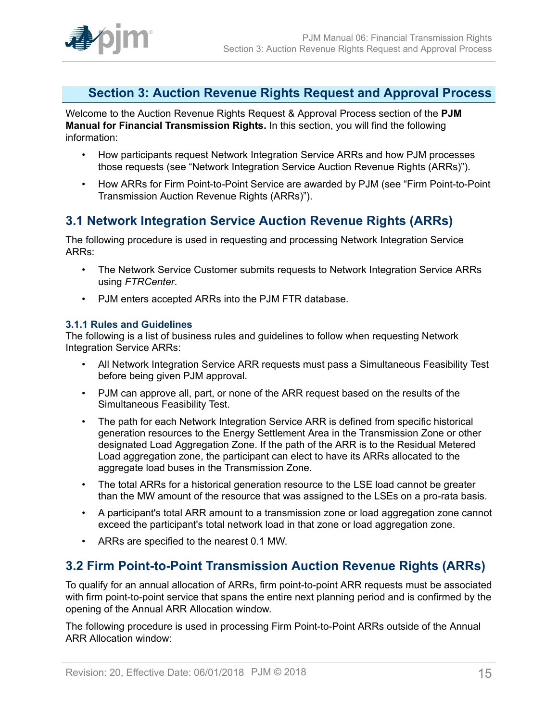

## <span id="page-14-0"></span>**Section 3: Auction Revenue Rights Request and Approval Process**

Welcome to the Auction Revenue Rights Request & Approval Process section of the **PJM Manual for Financial Transmission Rights.** In this section, you will find the following information:

- How participants request Network Integration Service ARRs and how PJM processes those requests (see "Network Integration Service Auction Revenue Rights (ARRs)").
- How ARRs for Firm Point-to-Point Service are awarded by PJM (see "Firm Point-to-Point Transmission Auction Revenue Rights (ARRs)").

## <span id="page-14-1"></span>**3.1 Network Integration Service Auction Revenue Rights (ARRs)**

The following procedure is used in requesting and processing Network Integration Service ARRs:

- The Network Service Customer submits requests to Network Integration Service ARRs using *FTRCenter*.
- PJM enters accepted ARRs into the PJM FTR database.

### <span id="page-14-2"></span>**3.1.1 Rules and Guidelines**

The following is a list of business rules and guidelines to follow when requesting Network Integration Service ARRs:

- All Network Integration Service ARR requests must pass a Simultaneous Feasibility Test before being given PJM approval.
- PJM can approve all, part, or none of the ARR request based on the results of the Simultaneous Feasibility Test.
- The path for each Network Integration Service ARR is defined from specific historical generation resources to the Energy Settlement Area in the Transmission Zone or other designated Load Aggregation Zone. If the path of the ARR is to the Residual Metered Load aggregation zone, the participant can elect to have its ARRs allocated to the aggregate load buses in the Transmission Zone.
- The total ARRs for a historical generation resource to the LSE load cannot be greater than the MW amount of the resource that was assigned to the LSEs on a pro-rata basis.
- A participant's total ARR amount to a transmission zone or load aggregation zone cannot exceed the participant's total network load in that zone or load aggregation zone.
- ARRs are specified to the nearest 0.1 MW.

### <span id="page-14-3"></span>**3.2 Firm Point-to-Point Transmission Auction Revenue Rights (ARRs)**

To qualify for an annual allocation of ARRs, firm point-to-point ARR requests must be associated with firm point-to-point service that spans the entire next planning period and is confirmed by the opening of the Annual ARR Allocation window.

The following procedure is used in processing Firm Point-to-Point ARRs outside of the Annual ARR Allocation window: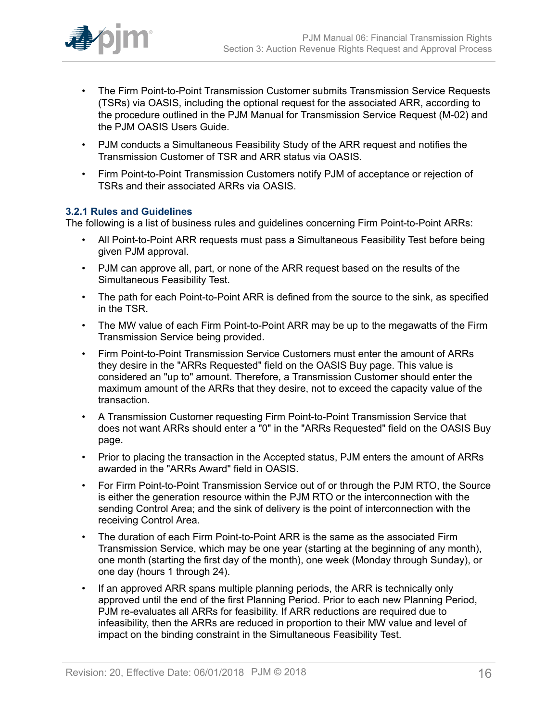

- The Firm Point-to-Point Transmission Customer submits Transmission Service Requests (TSRs) via OASIS, including the optional request for the associated ARR, according to the procedure outlined in the PJM Manual for Transmission Service Request (M-02) and the PJM OASIS Users Guide.
- PJM conducts a Simultaneous Feasibility Study of the ARR request and notifies the Transmission Customer of TSR and ARR status via OASIS.
- Firm Point-to-Point Transmission Customers notify PJM of acceptance or rejection of TSRs and their associated ARRs via OASIS.

### <span id="page-15-0"></span>**3.2.1 Rules and Guidelines**

The following is a list of business rules and guidelines concerning Firm Point-to-Point ARRs:

- All Point-to-Point ARR requests must pass a Simultaneous Feasibility Test before being given PJM approval.
- PJM can approve all, part, or none of the ARR request based on the results of the Simultaneous Feasibility Test.
- The path for each Point-to-Point ARR is defined from the source to the sink, as specified in the TSR.
- The MW value of each Firm Point-to-Point ARR may be up to the megawatts of the Firm Transmission Service being provided.
- Firm Point-to-Point Transmission Service Customers must enter the amount of ARRs they desire in the "ARRs Requested" field on the OASIS Buy page. This value is considered an "up to" amount. Therefore, a Transmission Customer should enter the maximum amount of the ARRs that they desire, not to exceed the capacity value of the transaction.
- A Transmission Customer requesting Firm Point-to-Point Transmission Service that does not want ARRs should enter a "0" in the "ARRs Requested" field on the OASIS Buy page.
- Prior to placing the transaction in the Accepted status, PJM enters the amount of ARRs awarded in the "ARRs Award" field in OASIS.
- For Firm Point-to-Point Transmission Service out of or through the PJM RTO, the Source is either the generation resource within the PJM RTO or the interconnection with the sending Control Area; and the sink of delivery is the point of interconnection with the receiving Control Area.
- The duration of each Firm Point-to-Point ARR is the same as the associated Firm Transmission Service, which may be one year (starting at the beginning of any month), one month (starting the first day of the month), one week (Monday through Sunday), or one day (hours 1 through 24).
- If an approved ARR spans multiple planning periods, the ARR is technically only approved until the end of the first Planning Period. Prior to each new Planning Period, PJM re-evaluates all ARRs for feasibility. If ARR reductions are required due to infeasibility, then the ARRs are reduced in proportion to their MW value and level of impact on the binding constraint in the Simultaneous Feasibility Test.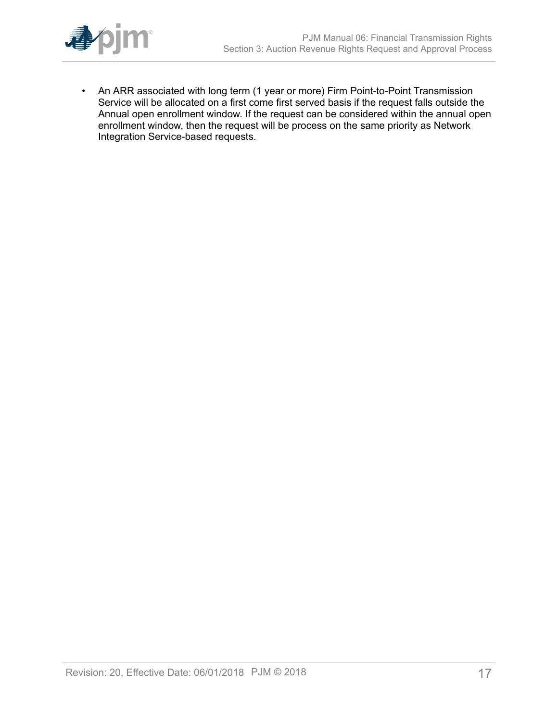

• An ARR associated with long term (1 year or more) Firm Point-to-Point Transmission Service will be allocated on a first come first served basis if the request falls outside the Annual open enrollment window. If the request can be considered within the annual open enrollment window, then the request will be process on the same priority as Network Integration Service-based requests.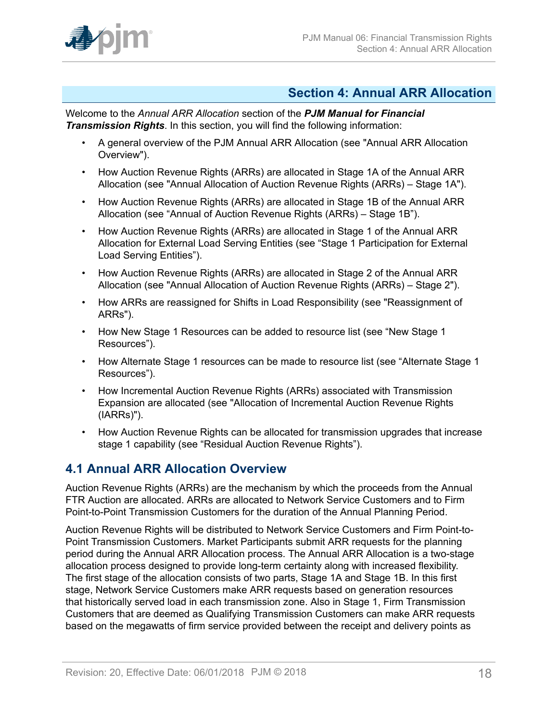

### <span id="page-17-0"></span>**Section 4: Annual ARR Allocation**

Welcome to the *Annual ARR Allocation* section of the *PJM Manual for Financial Transmission Rights*. In this section, you will find the following information:

- A general overview of the PJM Annual ARR Allocation (see "Annual ARR Allocation Overview").
- How Auction Revenue Rights (ARRs) are allocated in Stage 1A of the Annual ARR Allocation (see "Annual Allocation of Auction Revenue Rights (ARRs) – Stage 1A").
- How Auction Revenue Rights (ARRs) are allocated in Stage 1B of the Annual ARR Allocation (see "Annual of Auction Revenue Rights (ARRs) – Stage 1B").
- How Auction Revenue Rights (ARRs) are allocated in Stage 1 of the Annual ARR Allocation for External Load Serving Entities (see "Stage 1 Participation for External Load Serving Entities").
- How Auction Revenue Rights (ARRs) are allocated in Stage 2 of the Annual ARR Allocation (see "Annual Allocation of Auction Revenue Rights (ARRs) – Stage 2").
- How ARRs are reassigned for Shifts in Load Responsibility (see "Reassignment of ARRs").
- How New Stage 1 Resources can be added to resource list (see "New Stage 1 Resources").
- How Alternate Stage 1 resources can be made to resource list (see "Alternate Stage 1 Resources").
- How Incremental Auction Revenue Rights (ARRs) associated with Transmission Expansion are allocated (see "Allocation of Incremental Auction Revenue Rights (IARRs)").
- How Auction Revenue Rights can be allocated for transmission upgrades that increase stage 1 capability (see "Residual Auction Revenue Rights").

## <span id="page-17-1"></span>**4.1 Annual ARR Allocation Overview**

Auction Revenue Rights (ARRs) are the mechanism by which the proceeds from the Annual FTR Auction are allocated. ARRs are allocated to Network Service Customers and to Firm Point-to-Point Transmission Customers for the duration of the Annual Planning Period.

Auction Revenue Rights will be distributed to Network Service Customers and Firm Point-to-Point Transmission Customers. Market Participants submit ARR requests for the planning period during the Annual ARR Allocation process. The Annual ARR Allocation is a two-stage allocation process designed to provide long-term certainty along with increased flexibility. The first stage of the allocation consists of two parts, Stage 1A and Stage 1B. In this first stage, Network Service Customers make ARR requests based on generation resources that historically served load in each transmission zone. Also in Stage 1, Firm Transmission Customers that are deemed as Qualifying Transmission Customers can make ARR requests based on the megawatts of firm service provided between the receipt and delivery points as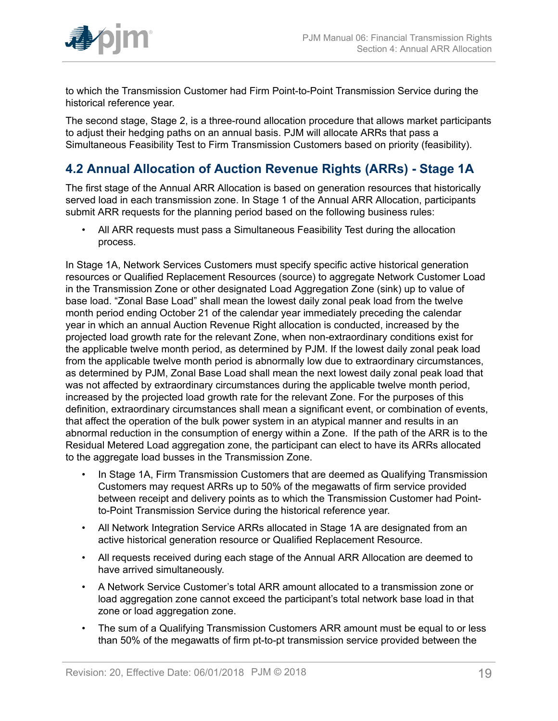

to which the Transmission Customer had Firm Point-to-Point Transmission Service during the historical reference year.

The second stage, Stage 2, is a three-round allocation procedure that allows market participants to adjust their hedging paths on an annual basis. PJM will allocate ARRs that pass a Simultaneous Feasibility Test to Firm Transmission Customers based on priority (feasibility).

## <span id="page-18-0"></span>**4.2 Annual Allocation of Auction Revenue Rights (ARRs) - Stage 1A**

The first stage of the Annual ARR Allocation is based on generation resources that historically served load in each transmission zone. In Stage 1 of the Annual ARR Allocation, participants submit ARR requests for the planning period based on the following business rules:

• All ARR requests must pass a Simultaneous Feasibility Test during the allocation process.

In Stage 1A, Network Services Customers must specify specific active historical generation resources or Qualified Replacement Resources (source) to aggregate Network Customer Load in the Transmission Zone or other designated Load Aggregation Zone (sink) up to value of base load. "Zonal Base Load" shall mean the lowest daily zonal peak load from the twelve month period ending October 21 of the calendar year immediately preceding the calendar year in which an annual Auction Revenue Right allocation is conducted, increased by the projected load growth rate for the relevant Zone, when non-extraordinary conditions exist for the applicable twelve month period, as determined by PJM. If the lowest daily zonal peak load from the applicable twelve month period is abnormally low due to extraordinary circumstances, as determined by PJM, Zonal Base Load shall mean the next lowest daily zonal peak load that was not affected by extraordinary circumstances during the applicable twelve month period, increased by the projected load growth rate for the relevant Zone. For the purposes of this definition, extraordinary circumstances shall mean a significant event, or combination of events, that affect the operation of the bulk power system in an atypical manner and results in an abnormal reduction in the consumption of energy within a Zone. If the path of the ARR is to the Residual Metered Load aggregation zone, the participant can elect to have its ARRs allocated to the aggregate load busses in the Transmission Zone.

- In Stage 1A, Firm Transmission Customers that are deemed as Qualifying Transmission Customers may request ARRs up to 50% of the megawatts of firm service provided between receipt and delivery points as to which the Transmission Customer had Pointto-Point Transmission Service during the historical reference year.
- All Network Integration Service ARRs allocated in Stage 1A are designated from an active historical generation resource or Qualified Replacement Resource.
- All requests received during each stage of the Annual ARR Allocation are deemed to have arrived simultaneously.
- A Network Service Customer's total ARR amount allocated to a transmission zone or load aggregation zone cannot exceed the participant's total network base load in that zone or load aggregation zone.
- The sum of a Qualifying Transmission Customers ARR amount must be equal to or less than 50% of the megawatts of firm pt-to-pt transmission service provided between the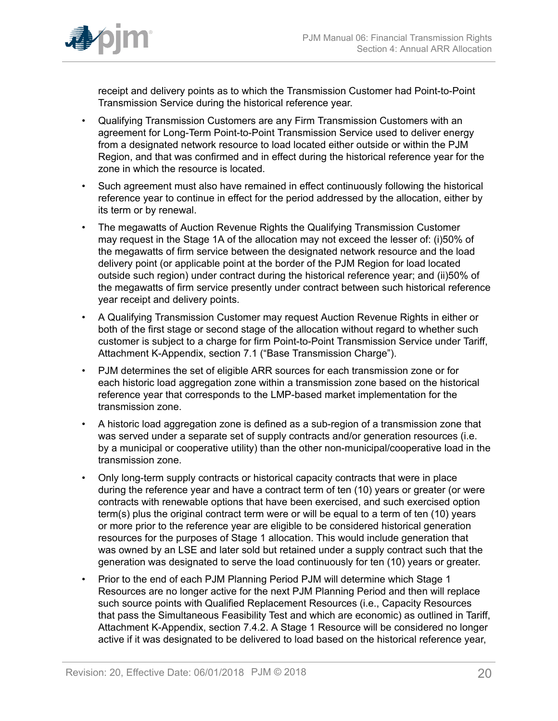

receipt and delivery points as to which the Transmission Customer had Point-to-Point Transmission Service during the historical reference year.

- Qualifying Transmission Customers are any Firm Transmission Customers with an agreement for Long-Term Point-to-Point Transmission Service used to deliver energy from a designated network resource to load located either outside or within the PJM Region, and that was confirmed and in effect during the historical reference year for the zone in which the resource is located.
- Such agreement must also have remained in effect continuously following the historical reference year to continue in effect for the period addressed by the allocation, either by its term or by renewal.
- The megawatts of Auction Revenue Rights the Qualifying Transmission Customer may request in the Stage 1A of the allocation may not exceed the lesser of: (i)50% of the megawatts of firm service between the designated network resource and the load delivery point (or applicable point at the border of the PJM Region for load located outside such region) under contract during the historical reference year; and (ii)50% of the megawatts of firm service presently under contract between such historical reference year receipt and delivery points.
- A Qualifying Transmission Customer may request Auction Revenue Rights in either or both of the first stage or second stage of the allocation without regard to whether such customer is subject to a charge for firm Point-to-Point Transmission Service under Tariff, Attachment K-Appendix, section 7.1 ("Base Transmission Charge").
- PJM determines the set of eligible ARR sources for each transmission zone or for each historic load aggregation zone within a transmission zone based on the historical reference year that corresponds to the LMP-based market implementation for the transmission zone.
- A historic load aggregation zone is defined as a sub-region of a transmission zone that was served under a separate set of supply contracts and/or generation resources (i.e. by a municipal or cooperative utility) than the other non-municipal/cooperative load in the transmission zone.
- Only long-term supply contracts or historical capacity contracts that were in place during the reference year and have a contract term of ten (10) years or greater (or were contracts with renewable options that have been exercised, and such exercised option term(s) plus the original contract term were or will be equal to a term of ten (10) years or more prior to the reference year are eligible to be considered historical generation resources for the purposes of Stage 1 allocation. This would include generation that was owned by an LSE and later sold but retained under a supply contract such that the generation was designated to serve the load continuously for ten (10) years or greater.
- Prior to the end of each PJM Planning Period PJM will determine which Stage 1 Resources are no longer active for the next PJM Planning Period and then will replace such source points with Qualified Replacement Resources (i.e., Capacity Resources that pass the Simultaneous Feasibility Test and which are economic) as outlined in Tariff, Attachment K-Appendix, section 7.4.2. A Stage 1 Resource will be considered no longer active if it was designated to be delivered to load based on the historical reference year,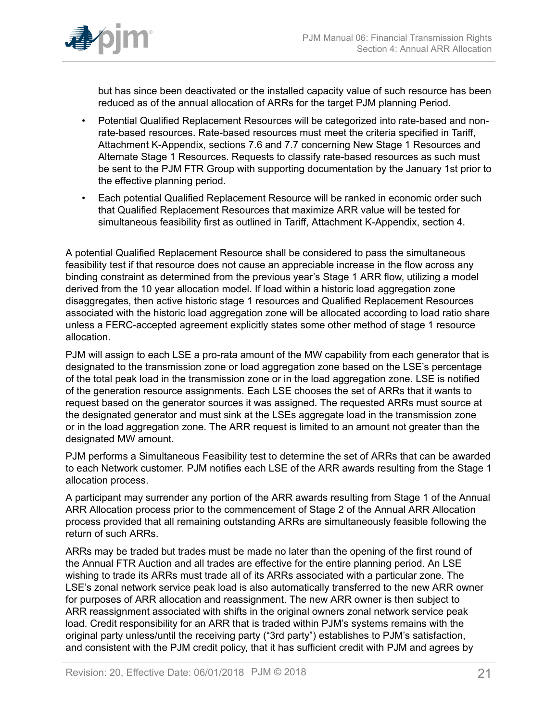

but has since been deactivated or the installed capacity value of such resource has been reduced as of the annual allocation of ARRs for the target PJM planning Period.

- Potential Qualified Replacement Resources will be categorized into rate-based and nonrate-based resources. Rate-based resources must meet the criteria specified in Tariff, Attachment K-Appendix, sections 7.6 and 7.7 concerning New Stage 1 Resources and Alternate Stage 1 Resources. Requests to classify rate-based resources as such must be sent to the PJM FTR Group with supporting documentation by the January 1st prior to the effective planning period.
- Each potential Qualified Replacement Resource will be ranked in economic order such that Qualified Replacement Resources that maximize ARR value will be tested for simultaneous feasibility first as outlined in Tariff, Attachment K-Appendix, section 4.

A potential Qualified Replacement Resource shall be considered to pass the simultaneous feasibility test if that resource does not cause an appreciable increase in the flow across any binding constraint as determined from the previous year's Stage 1 ARR flow, utilizing a model derived from the 10 year allocation model. If load within a historic load aggregation zone disaggregates, then active historic stage 1 resources and Qualified Replacement Resources associated with the historic load aggregation zone will be allocated according to load ratio share unless a FERC-accepted agreement explicitly states some other method of stage 1 resource allocation.

PJM will assign to each LSE a pro-rata amount of the MW capability from each generator that is designated to the transmission zone or load aggregation zone based on the LSE's percentage of the total peak load in the transmission zone or in the load aggregation zone. LSE is notified of the generation resource assignments. Each LSE chooses the set of ARRs that it wants to request based on the generator sources it was assigned. The requested ARRs must source at the designated generator and must sink at the LSEs aggregate load in the transmission zone or in the load aggregation zone. The ARR request is limited to an amount not greater than the designated MW amount.

PJM performs a Simultaneous Feasibility test to determine the set of ARRs that can be awarded to each Network customer. PJM notifies each LSE of the ARR awards resulting from the Stage 1 allocation process.

A participant may surrender any portion of the ARR awards resulting from Stage 1 of the Annual ARR Allocation process prior to the commencement of Stage 2 of the Annual ARR Allocation process provided that all remaining outstanding ARRs are simultaneously feasible following the return of such ARRs.

ARRs may be traded but trades must be made no later than the opening of the first round of the Annual FTR Auction and all trades are effective for the entire planning period. An LSE wishing to trade its ARRs must trade all of its ARRs associated with a particular zone. The LSE's zonal network service peak load is also automatically transferred to the new ARR owner for purposes of ARR allocation and reassignment. The new ARR owner is then subject to ARR reassignment associated with shifts in the original owners zonal network service peak load. Credit responsibility for an ARR that is traded within PJM's systems remains with the original party unless/until the receiving party ("3rd party") establishes to PJM's satisfaction, and consistent with the PJM credit policy, that it has sufficient credit with PJM and agrees by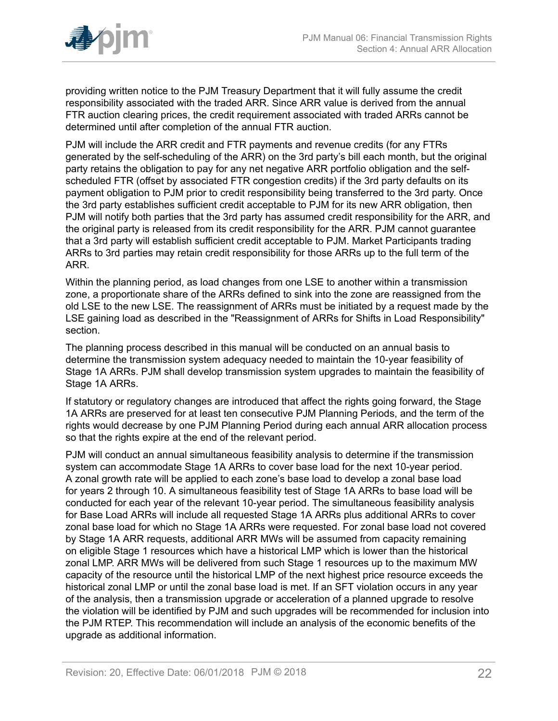

providing written notice to the PJM Treasury Department that it will fully assume the credit responsibility associated with the traded ARR. Since ARR value is derived from the annual FTR auction clearing prices, the credit requirement associated with traded ARRs cannot be determined until after completion of the annual FTR auction.

PJM will include the ARR credit and FTR payments and revenue credits (for any FTRs generated by the self-scheduling of the ARR) on the 3rd party's bill each month, but the original party retains the obligation to pay for any net negative ARR portfolio obligation and the selfscheduled FTR (offset by associated FTR congestion credits) if the 3rd party defaults on its payment obligation to PJM prior to credit responsibility being transferred to the 3rd party. Once the 3rd party establishes sufficient credit acceptable to PJM for its new ARR obligation, then PJM will notify both parties that the 3rd party has assumed credit responsibility for the ARR, and the original party is released from its credit responsibility for the ARR. PJM cannot guarantee that a 3rd party will establish sufficient credit acceptable to PJM. Market Participants trading ARRs to 3rd parties may retain credit responsibility for those ARRs up to the full term of the ARR.

Within the planning period, as load changes from one LSE to another within a transmission zone, a proportionate share of the ARRs defined to sink into the zone are reassigned from the old LSE to the new LSE. The reassignment of ARRs must be initiated by a request made by the LSE gaining load as described in the "Reassignment of ARRs for Shifts in Load Responsibility" section.

The planning process described in this manual will be conducted on an annual basis to determine the transmission system adequacy needed to maintain the 10-year feasibility of Stage 1A ARRs. PJM shall develop transmission system upgrades to maintain the feasibility of Stage 1A ARRs.

If statutory or regulatory changes are introduced that affect the rights going forward, the Stage 1A ARRs are preserved for at least ten consecutive PJM Planning Periods, and the term of the rights would decrease by one PJM Planning Period during each annual ARR allocation process so that the rights expire at the end of the relevant period.

PJM will conduct an annual simultaneous feasibility analysis to determine if the transmission system can accommodate Stage 1A ARRs to cover base load for the next 10-year period. A zonal growth rate will be applied to each zone's base load to develop a zonal base load for years 2 through 10. A simultaneous feasibility test of Stage 1A ARRs to base load will be conducted for each year of the relevant 10-year period. The simultaneous feasibility analysis for Base Load ARRs will include all requested Stage 1A ARRs plus additional ARRs to cover zonal base load for which no Stage 1A ARRs were requested. For zonal base load not covered by Stage 1A ARR requests, additional ARR MWs will be assumed from capacity remaining on eligible Stage 1 resources which have a historical LMP which is lower than the historical zonal LMP. ARR MWs will be delivered from such Stage 1 resources up to the maximum MW capacity of the resource until the historical LMP of the next highest price resource exceeds the historical zonal LMP or until the zonal base load is met. If an SFT violation occurs in any year of the analysis, then a transmission upgrade or acceleration of a planned upgrade to resolve the violation will be identified by PJM and such upgrades will be recommended for inclusion into the PJM RTEP. This recommendation will include an analysis of the economic benefits of the upgrade as additional information.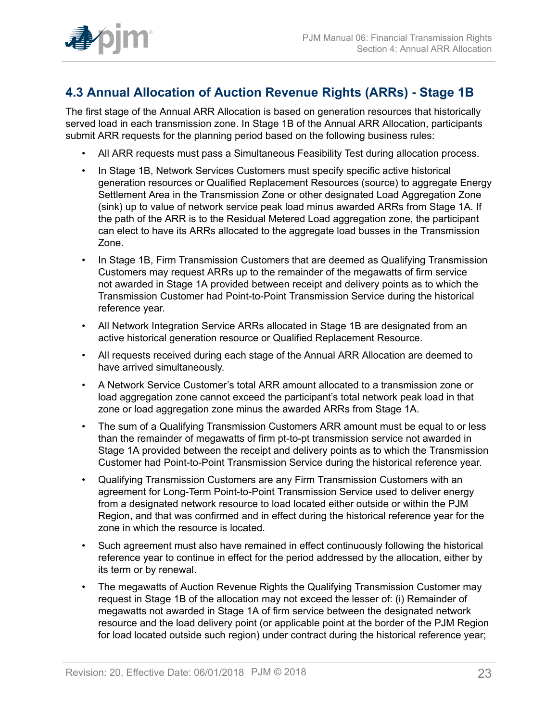

## <span id="page-22-0"></span>**4.3 Annual Allocation of Auction Revenue Rights (ARRs) - Stage 1B**

The first stage of the Annual ARR Allocation is based on generation resources that historically served load in each transmission zone. In Stage 1B of the Annual ARR Allocation, participants submit ARR requests for the planning period based on the following business rules:

- All ARR requests must pass a Simultaneous Feasibility Test during allocation process.
- In Stage 1B, Network Services Customers must specify specific active historical generation resources or Qualified Replacement Resources (source) to aggregate Energy Settlement Area in the Transmission Zone or other designated Load Aggregation Zone (sink) up to value of network service peak load minus awarded ARRs from Stage 1A. If the path of the ARR is to the Residual Metered Load aggregation zone, the participant can elect to have its ARRs allocated to the aggregate load busses in the Transmission Zone.
- In Stage 1B, Firm Transmission Customers that are deemed as Qualifying Transmission Customers may request ARRs up to the remainder of the megawatts of firm service not awarded in Stage 1A provided between receipt and delivery points as to which the Transmission Customer had Point-to-Point Transmission Service during the historical reference year.
- All Network Integration Service ARRs allocated in Stage 1B are designated from an active historical generation resource or Qualified Replacement Resource.
- All requests received during each stage of the Annual ARR Allocation are deemed to have arrived simultaneously.
- A Network Service Customer's total ARR amount allocated to a transmission zone or load aggregation zone cannot exceed the participant's total network peak load in that zone or load aggregation zone minus the awarded ARRs from Stage 1A.
- The sum of a Qualifying Transmission Customers ARR amount must be equal to or less than the remainder of megawatts of firm pt-to-pt transmission service not awarded in Stage 1A provided between the receipt and delivery points as to which the Transmission Customer had Point-to-Point Transmission Service during the historical reference year.
- Qualifying Transmission Customers are any Firm Transmission Customers with an agreement for Long-Term Point-to-Point Transmission Service used to deliver energy from a designated network resource to load located either outside or within the PJM Region, and that was confirmed and in effect during the historical reference year for the zone in which the resource is located.
- Such agreement must also have remained in effect continuously following the historical reference year to continue in effect for the period addressed by the allocation, either by its term or by renewal.
- The megawatts of Auction Revenue Rights the Qualifying Transmission Customer may request in Stage 1B of the allocation may not exceed the lesser of: (i) Remainder of megawatts not awarded in Stage 1A of firm service between the designated network resource and the load delivery point (or applicable point at the border of the PJM Region for load located outside such region) under contract during the historical reference year;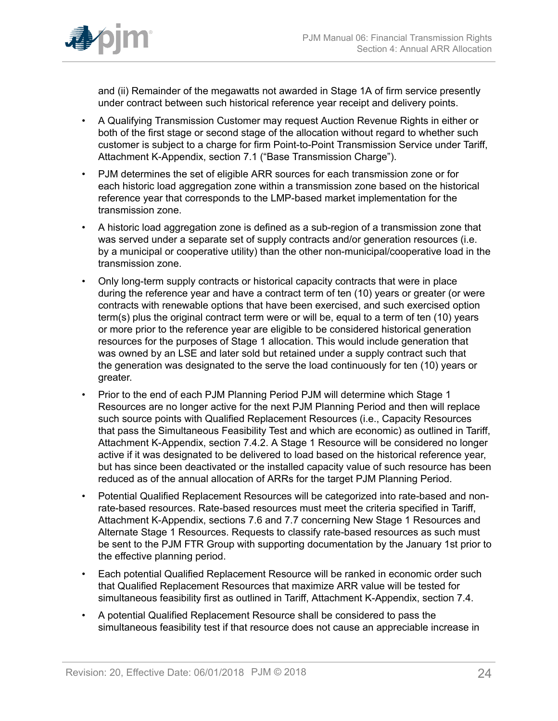

and (ii) Remainder of the megawatts not awarded in Stage 1A of firm service presently under contract between such historical reference year receipt and delivery points.

- A Qualifying Transmission Customer may request Auction Revenue Rights in either or both of the first stage or second stage of the allocation without regard to whether such customer is subject to a charge for firm Point-to-Point Transmission Service under Tariff, Attachment K-Appendix, section 7.1 ("Base Transmission Charge").
- PJM determines the set of eligible ARR sources for each transmission zone or for each historic load aggregation zone within a transmission zone based on the historical reference year that corresponds to the LMP-based market implementation for the transmission zone.
- A historic load aggregation zone is defined as a sub-region of a transmission zone that was served under a separate set of supply contracts and/or generation resources (i.e. by a municipal or cooperative utility) than the other non-municipal/cooperative load in the transmission zone.
- Only long-term supply contracts or historical capacity contracts that were in place during the reference year and have a contract term of ten (10) years or greater (or were contracts with renewable options that have been exercised, and such exercised option term(s) plus the original contract term were or will be, equal to a term of ten (10) years or more prior to the reference year are eligible to be considered historical generation resources for the purposes of Stage 1 allocation. This would include generation that was owned by an LSE and later sold but retained under a supply contract such that the generation was designated to the serve the load continuously for ten (10) years or greater.
- Prior to the end of each PJM Planning Period PJM will determine which Stage 1 Resources are no longer active for the next PJM Planning Period and then will replace such source points with Qualified Replacement Resources (i.e., Capacity Resources that pass the Simultaneous Feasibility Test and which are economic) as outlined in Tariff, Attachment K-Appendix, section 7.4.2. A Stage 1 Resource will be considered no longer active if it was designated to be delivered to load based on the historical reference year, but has since been deactivated or the installed capacity value of such resource has been reduced as of the annual allocation of ARRs for the target PJM Planning Period.
- Potential Qualified Replacement Resources will be categorized into rate-based and nonrate-based resources. Rate-based resources must meet the criteria specified in Tariff, Attachment K-Appendix, sections 7.6 and 7.7 concerning New Stage 1 Resources and Alternate Stage 1 Resources. Requests to classify rate-based resources as such must be sent to the PJM FTR Group with supporting documentation by the January 1st prior to the effective planning period.
- Each potential Qualified Replacement Resource will be ranked in economic order such that Qualified Replacement Resources that maximize ARR value will be tested for simultaneous feasibility first as outlined in Tariff, Attachment K-Appendix, section 7.4.
- A potential Qualified Replacement Resource shall be considered to pass the simultaneous feasibility test if that resource does not cause an appreciable increase in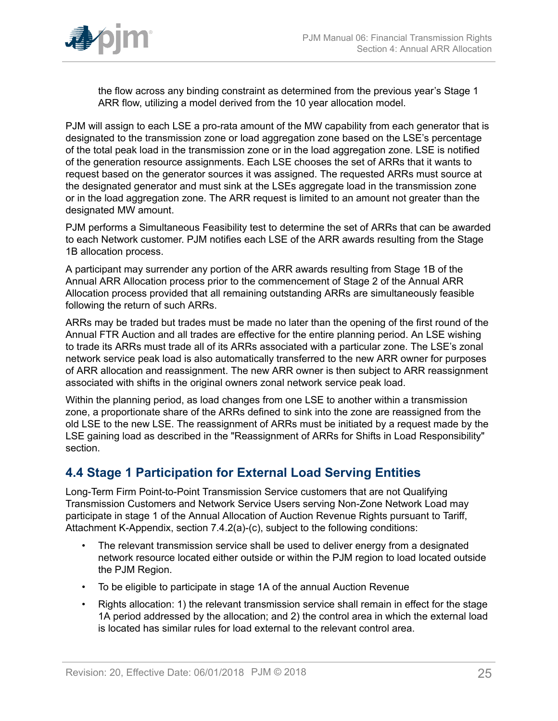

the flow across any binding constraint as determined from the previous year's Stage 1 ARR flow, utilizing a model derived from the 10 year allocation model.

PJM will assign to each LSE a pro-rata amount of the MW capability from each generator that is designated to the transmission zone or load aggregation zone based on the LSE's percentage of the total peak load in the transmission zone or in the load aggregation zone. LSE is notified of the generation resource assignments. Each LSE chooses the set of ARRs that it wants to request based on the generator sources it was assigned. The requested ARRs must source at the designated generator and must sink at the LSEs aggregate load in the transmission zone or in the load aggregation zone. The ARR request is limited to an amount not greater than the designated MW amount.

PJM performs a Simultaneous Feasibility test to determine the set of ARRs that can be awarded to each Network customer. PJM notifies each LSE of the ARR awards resulting from the Stage 1B allocation process.

A participant may surrender any portion of the ARR awards resulting from Stage 1B of the Annual ARR Allocation process prior to the commencement of Stage 2 of the Annual ARR Allocation process provided that all remaining outstanding ARRs are simultaneously feasible following the return of such ARRs.

ARRs may be traded but trades must be made no later than the opening of the first round of the Annual FTR Auction and all trades are effective for the entire planning period. An LSE wishing to trade its ARRs must trade all of its ARRs associated with a particular zone. The LSE's zonal network service peak load is also automatically transferred to the new ARR owner for purposes of ARR allocation and reassignment. The new ARR owner is then subject to ARR reassignment associated with shifts in the original owners zonal network service peak load.

Within the planning period, as load changes from one LSE to another within a transmission zone, a proportionate share of the ARRs defined to sink into the zone are reassigned from the old LSE to the new LSE. The reassignment of ARRs must be initiated by a request made by the LSE gaining load as described in the "Reassignment of ARRs for Shifts in Load Responsibility" section.

### <span id="page-24-0"></span>**4.4 Stage 1 Participation for External Load Serving Entities**

Long-Term Firm Point-to-Point Transmission Service customers that are not Qualifying Transmission Customers and Network Service Users serving Non-Zone Network Load may participate in stage 1 of the Annual Allocation of Auction Revenue Rights pursuant to Tariff, Attachment K-Appendix, section 7.4.2(a)-(c), subject to the following conditions:

- The relevant transmission service shall be used to deliver energy from a designated network resource located either outside or within the PJM region to load located outside the PJM Region.
- To be eligible to participate in stage 1A of the annual Auction Revenue
- Rights allocation: 1) the relevant transmission service shall remain in effect for the stage 1A period addressed by the allocation; and 2) the control area in which the external load is located has similar rules for load external to the relevant control area.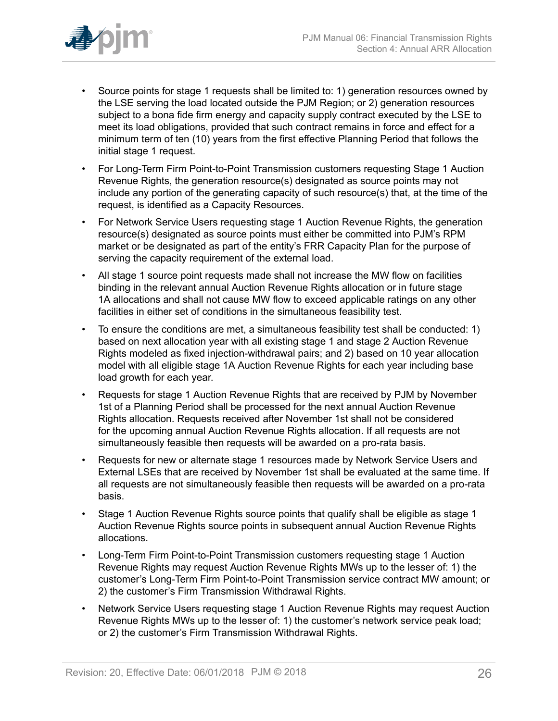

- Source points for stage 1 requests shall be limited to: 1) generation resources owned by the LSE serving the load located outside the PJM Region; or 2) generation resources subject to a bona fide firm energy and capacity supply contract executed by the LSE to meet its load obligations, provided that such contract remains in force and effect for a minimum term of ten (10) years from the first effective Planning Period that follows the initial stage 1 request.
- For Long-Term Firm Point-to-Point Transmission customers requesting Stage 1 Auction Revenue Rights, the generation resource(s) designated as source points may not include any portion of the generating capacity of such resource(s) that, at the time of the request, is identified as a Capacity Resources.
- For Network Service Users requesting stage 1 Auction Revenue Rights, the generation resource(s) designated as source points must either be committed into PJM's RPM market or be designated as part of the entity's FRR Capacity Plan for the purpose of serving the capacity requirement of the external load.
- All stage 1 source point requests made shall not increase the MW flow on facilities binding in the relevant annual Auction Revenue Rights allocation or in future stage 1A allocations and shall not cause MW flow to exceed applicable ratings on any other facilities in either set of conditions in the simultaneous feasibility test.
- To ensure the conditions are met, a simultaneous feasibility test shall be conducted: 1) based on next allocation year with all existing stage 1 and stage 2 Auction Revenue Rights modeled as fixed injection-withdrawal pairs; and 2) based on 10 year allocation model with all eligible stage 1A Auction Revenue Rights for each year including base load growth for each year.
- Requests for stage 1 Auction Revenue Rights that are received by PJM by November 1st of a Planning Period shall be processed for the next annual Auction Revenue Rights allocation. Requests received after November 1st shall not be considered for the upcoming annual Auction Revenue Rights allocation. If all requests are not simultaneously feasible then requests will be awarded on a pro-rata basis.
- Requests for new or alternate stage 1 resources made by Network Service Users and External LSEs that are received by November 1st shall be evaluated at the same time. If all requests are not simultaneously feasible then requests will be awarded on a pro-rata basis.
- Stage 1 Auction Revenue Rights source points that qualify shall be eligible as stage 1 Auction Revenue Rights source points in subsequent annual Auction Revenue Rights allocations.
- Long-Term Firm Point-to-Point Transmission customers requesting stage 1 Auction Revenue Rights may request Auction Revenue Rights MWs up to the lesser of: 1) the customer's Long-Term Firm Point-to-Point Transmission service contract MW amount; or 2) the customer's Firm Transmission Withdrawal Rights.
- Network Service Users requesting stage 1 Auction Revenue Rights may request Auction Revenue Rights MWs up to the lesser of: 1) the customer's network service peak load; or 2) the customer's Firm Transmission Withdrawal Rights.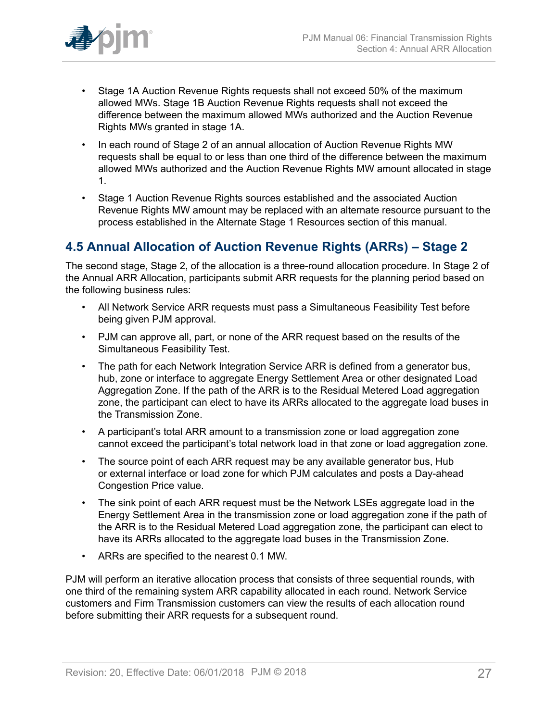

- Stage 1A Auction Revenue Rights requests shall not exceed 50% of the maximum allowed MWs. Stage 1B Auction Revenue Rights requests shall not exceed the difference between the maximum allowed MWs authorized and the Auction Revenue Rights MWs granted in stage 1A.
- In each round of Stage 2 of an annual allocation of Auction Revenue Rights MW requests shall be equal to or less than one third of the difference between the maximum allowed MWs authorized and the Auction Revenue Rights MW amount allocated in stage 1.
- Stage 1 Auction Revenue Rights sources established and the associated Auction Revenue Rights MW amount may be replaced with an alternate resource pursuant to the process established in the Alternate Stage 1 Resources section of this manual.

## <span id="page-26-0"></span>**4.5 Annual Allocation of Auction Revenue Rights (ARRs) – Stage 2**

The second stage, Stage 2, of the allocation is a three-round allocation procedure. In Stage 2 of the Annual ARR Allocation, participants submit ARR requests for the planning period based on the following business rules:

- All Network Service ARR requests must pass a Simultaneous Feasibility Test before being given PJM approval.
- PJM can approve all, part, or none of the ARR request based on the results of the Simultaneous Feasibility Test.
- The path for each Network Integration Service ARR is defined from a generator bus, hub, zone or interface to aggregate Energy Settlement Area or other designated Load Aggregation Zone. If the path of the ARR is to the Residual Metered Load aggregation zone, the participant can elect to have its ARRs allocated to the aggregate load buses in the Transmission Zone.
- A participant's total ARR amount to a transmission zone or load aggregation zone cannot exceed the participant's total network load in that zone or load aggregation zone.
- The source point of each ARR request may be any available generator bus, Hub or external interface or load zone for which PJM calculates and posts a Day-ahead Congestion Price value.
- The sink point of each ARR request must be the Network LSEs aggregate load in the Energy Settlement Area in the transmission zone or load aggregation zone if the path of the ARR is to the Residual Metered Load aggregation zone, the participant can elect to have its ARRs allocated to the aggregate load buses in the Transmission Zone.
- ARRs are specified to the nearest 0.1 MW.

PJM will perform an iterative allocation process that consists of three sequential rounds, with one third of the remaining system ARR capability allocated in each round. Network Service customers and Firm Transmission customers can view the results of each allocation round before submitting their ARR requests for a subsequent round.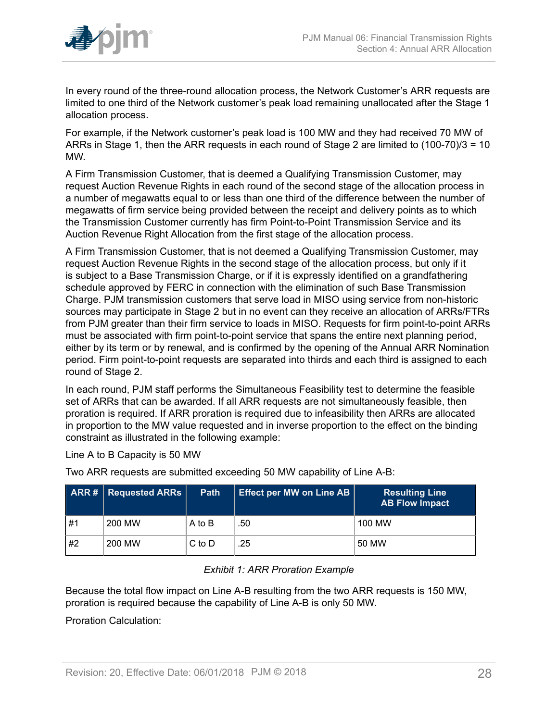

In every round of the three-round allocation process, the Network Customer's ARR requests are limited to one third of the Network customer's peak load remaining unallocated after the Stage 1 allocation process.

For example, if the Network customer's peak load is 100 MW and they had received 70 MW of ARRs in Stage 1, then the ARR requests in each round of Stage 2 are limited to (100-70)/3 = 10 MW.

A Firm Transmission Customer, that is deemed a Qualifying Transmission Customer, may request Auction Revenue Rights in each round of the second stage of the allocation process in a number of megawatts equal to or less than one third of the difference between the number of megawatts of firm service being provided between the receipt and delivery points as to which the Transmission Customer currently has firm Point-to-Point Transmission Service and its Auction Revenue Right Allocation from the first stage of the allocation process.

A Firm Transmission Customer, that is not deemed a Qualifying Transmission Customer, may request Auction Revenue Rights in the second stage of the allocation process, but only if it is subject to a Base Transmission Charge, or if it is expressly identified on a grandfathering schedule approved by FERC in connection with the elimination of such Base Transmission Charge. PJM transmission customers that serve load in MISO using service from non-historic sources may participate in Stage 2 but in no event can they receive an allocation of ARRs/FTRs from PJM greater than their firm service to loads in MISO. Requests for firm point-to-point ARRs must be associated with firm point-to-point service that spans the entire next planning period, either by its term or by renewal, and is confirmed by the opening of the Annual ARR Nomination period. Firm point-to-point requests are separated into thirds and each third is assigned to each round of Stage 2.

In each round, PJM staff performs the Simultaneous Feasibility test to determine the feasible set of ARRs that can be awarded. If all ARR requests are not simultaneously feasible, then proration is required. If ARR proration is required due to infeasibility then ARRs are allocated in proportion to the MW value requested and in inverse proportion to the effect on the binding constraint as illustrated in the following example:

Line A to B Capacity is 50 MW

<span id="page-27-0"></span>

|      | <b>ARR #   Requested ARRs  </b> | <b>Path</b> | <b>Effect per MW on Line AB</b> | <b>Resulting Line</b><br><b>AB Flow Impact</b> |
|------|---------------------------------|-------------|---------------------------------|------------------------------------------------|
| . #1 | 200 MW                          | A to B      | .50                             | 100 MW                                         |
| #2   | 200 MW                          | $C$ to $D$  | .25                             | 50 MW                                          |

Two ARR requests are submitted exceeding 50 MW capability of Line A-B:

### *Exhibit 1: ARR Proration Example*

Because the total flow impact on Line A-B resulting from the two ARR requests is 150 MW, proration is required because the capability of Line A-B is only 50 MW.

Proration Calculation: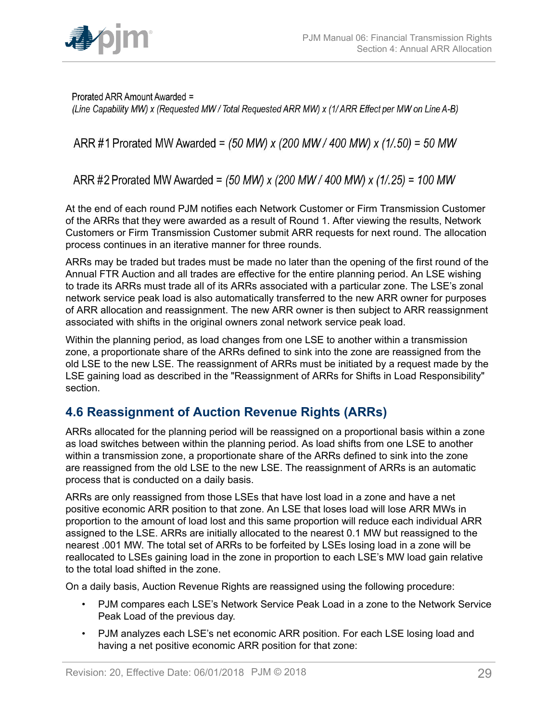

Prorated ARR Amount Awarded = (Line Capability MW) x (Requested MW / Total Requested ARR MW) x (1/ ARR Effect per MW on Line A-B)

ARR #1 Prorated MW Awarded = (50 MW) x (200 MW / 400 MW) x (1/.50) = 50 MW

ARR #2 Prorated MW Awarded = (50 MW) x (200 MW / 400 MW) x (1/.25) = 100 MW

At the end of each round PJM notifies each Network Customer or Firm Transmission Customer of the ARRs that they were awarded as a result of Round 1. After viewing the results, Network Customers or Firm Transmission Customer submit ARR requests for next round. The allocation process continues in an iterative manner for three rounds.

ARRs may be traded but trades must be made no later than the opening of the first round of the Annual FTR Auction and all trades are effective for the entire planning period. An LSE wishing to trade its ARRs must trade all of its ARRs associated with a particular zone. The LSE's zonal network service peak load is also automatically transferred to the new ARR owner for purposes of ARR allocation and reassignment. The new ARR owner is then subject to ARR reassignment associated with shifts in the original owners zonal network service peak load.

Within the planning period, as load changes from one LSE to another within a transmission zone, a proportionate share of the ARRs defined to sink into the zone are reassigned from the old LSE to the new LSE. The reassignment of ARRs must be initiated by a request made by the LSE gaining load as described in the "Reassignment of ARRs for Shifts in Load Responsibility" section.

## <span id="page-28-0"></span>**4.6 Reassignment of Auction Revenue Rights (ARRs)**

ARRs allocated for the planning period will be reassigned on a proportional basis within a zone as load switches between within the planning period. As load shifts from one LSE to another within a transmission zone, a proportionate share of the ARRs defined to sink into the zone are reassigned from the old LSE to the new LSE. The reassignment of ARRs is an automatic process that is conducted on a daily basis.

ARRs are only reassigned from those LSEs that have lost load in a zone and have a net positive economic ARR position to that zone. An LSE that loses load will lose ARR MWs in proportion to the amount of load lost and this same proportion will reduce each individual ARR assigned to the LSE. ARRs are initially allocated to the nearest 0.1 MW but reassigned to the nearest .001 MW. The total set of ARRs to be forfeited by LSEs losing load in a zone will be reallocated to LSEs gaining load in the zone in proportion to each LSE's MW load gain relative to the total load shifted in the zone.

On a daily basis, Auction Revenue Rights are reassigned using the following procedure:

- PJM compares each LSE's Network Service Peak Load in a zone to the Network Service Peak Load of the previous day.
- PJM analyzes each LSE's net economic ARR position. For each LSE losing load and having a net positive economic ARR position for that zone: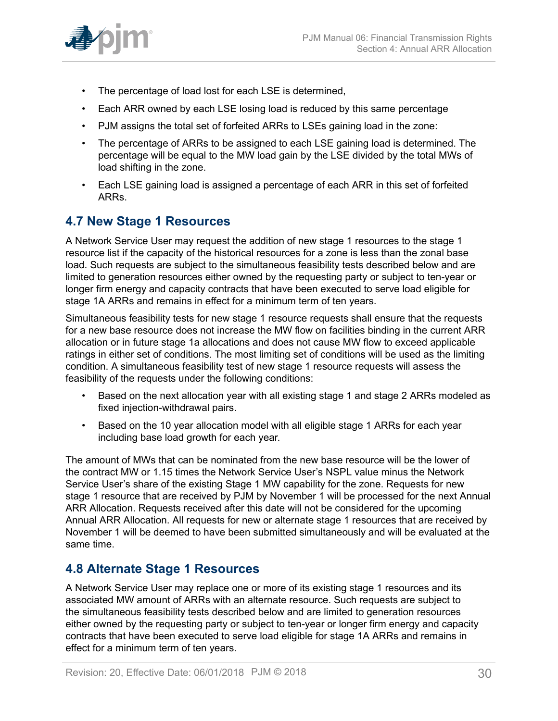

- The percentage of load lost for each LSE is determined,
- Each ARR owned by each LSE losing load is reduced by this same percentage
- PJM assigns the total set of forfeited ARRs to LSEs gaining load in the zone:
- The percentage of ARRs to be assigned to each LSE gaining load is determined. The percentage will be equal to the MW load gain by the LSE divided by the total MWs of load shifting in the zone.
- Each LSE gaining load is assigned a percentage of each ARR in this set of forfeited ARRs.

## <span id="page-29-0"></span>**4.7 New Stage 1 Resources**

A Network Service User may request the addition of new stage 1 resources to the stage 1 resource list if the capacity of the historical resources for a zone is less than the zonal base load. Such requests are subject to the simultaneous feasibility tests described below and are limited to generation resources either owned by the requesting party or subject to ten-year or longer firm energy and capacity contracts that have been executed to serve load eligible for stage 1A ARRs and remains in effect for a minimum term of ten years.

Simultaneous feasibility tests for new stage 1 resource requests shall ensure that the requests for a new base resource does not increase the MW flow on facilities binding in the current ARR allocation or in future stage 1a allocations and does not cause MW flow to exceed applicable ratings in either set of conditions. The most limiting set of conditions will be used as the limiting condition. A simultaneous feasibility test of new stage 1 resource requests will assess the feasibility of the requests under the following conditions:

- Based on the next allocation year with all existing stage 1 and stage 2 ARRs modeled as fixed injection-withdrawal pairs.
- Based on the 10 year allocation model with all eligible stage 1 ARRs for each year including base load growth for each year.

The amount of MWs that can be nominated from the new base resource will be the lower of the contract MW or 1.15 times the Network Service User's NSPL value minus the Network Service User's share of the existing Stage 1 MW capability for the zone. Requests for new stage 1 resource that are received by PJM by November 1 will be processed for the next Annual ARR Allocation. Requests received after this date will not be considered for the upcoming Annual ARR Allocation. All requests for new or alternate stage 1 resources that are received by November 1 will be deemed to have been submitted simultaneously and will be evaluated at the same time.

### <span id="page-29-1"></span>**4.8 Alternate Stage 1 Resources**

A Network Service User may replace one or more of its existing stage 1 resources and its associated MW amount of ARRs with an alternate resource. Such requests are subject to the simultaneous feasibility tests described below and are limited to generation resources either owned by the requesting party or subject to ten-year or longer firm energy and capacity contracts that have been executed to serve load eligible for stage 1A ARRs and remains in effect for a minimum term of ten years.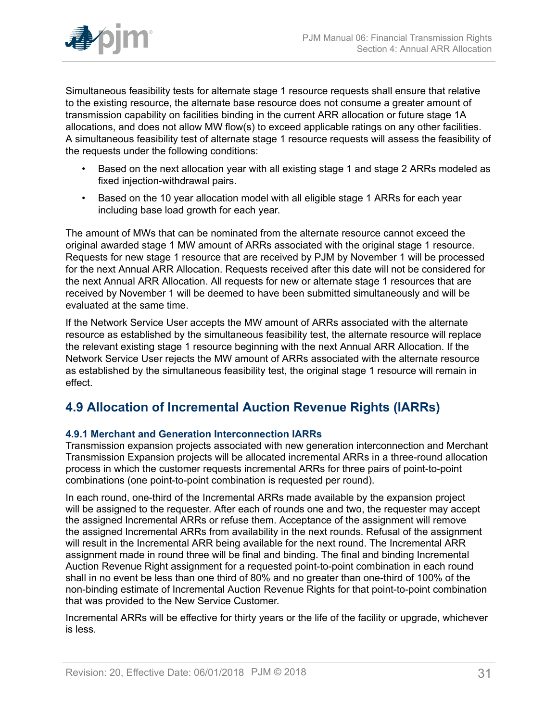Simultaneous feasibility tests for alternate stage 1 resource requests shall ensure that relative to the existing resource, the alternate base resource does not consume a greater amount of transmission capability on facilities binding in the current ARR allocation or future stage 1A allocations, and does not allow MW flow(s) to exceed applicable ratings on any other facilities. A simultaneous feasibility test of alternate stage 1 resource requests will assess the feasibility of the requests under the following conditions:

- Based on the next allocation year with all existing stage 1 and stage 2 ARRs modeled as fixed injection-withdrawal pairs.
- Based on the 10 year allocation model with all eligible stage 1 ARRs for each year including base load growth for each year.

The amount of MWs that can be nominated from the alternate resource cannot exceed the original awarded stage 1 MW amount of ARRs associated with the original stage 1 resource. Requests for new stage 1 resource that are received by PJM by November 1 will be processed for the next Annual ARR Allocation. Requests received after this date will not be considered for the next Annual ARR Allocation. All requests for new or alternate stage 1 resources that are received by November 1 will be deemed to have been submitted simultaneously and will be evaluated at the same time.

If the Network Service User accepts the MW amount of ARRs associated with the alternate resource as established by the simultaneous feasibility test, the alternate resource will replace the relevant existing stage 1 resource beginning with the next Annual ARR Allocation. If the Network Service User rejects the MW amount of ARRs associated with the alternate resource as established by the simultaneous feasibility test, the original stage 1 resource will remain in effect.

## <span id="page-30-0"></span>**4.9 Allocation of Incremental Auction Revenue Rights (IARRs)**

### <span id="page-30-1"></span>**4.9.1 Merchant and Generation Interconnection IARRs**

Transmission expansion projects associated with new generation interconnection and Merchant Transmission Expansion projects will be allocated incremental ARRs in a three-round allocation process in which the customer requests incremental ARRs for three pairs of point-to-point combinations (one point-to-point combination is requested per round).

In each round, one-third of the Incremental ARRs made available by the expansion project will be assigned to the requester. After each of rounds one and two, the requester may accept the assigned Incremental ARRs or refuse them. Acceptance of the assignment will remove the assigned Incremental ARRs from availability in the next rounds. Refusal of the assignment will result in the Incremental ARR being available for the next round. The Incremental ARR assignment made in round three will be final and binding. The final and binding Incremental Auction Revenue Right assignment for a requested point-to-point combination in each round shall in no event be less than one third of 80% and no greater than one-third of 100% of the non-binding estimate of Incremental Auction Revenue Rights for that point-to-point combination that was provided to the New Service Customer.

Incremental ARRs will be effective for thirty years or the life of the facility or upgrade, whichever is less.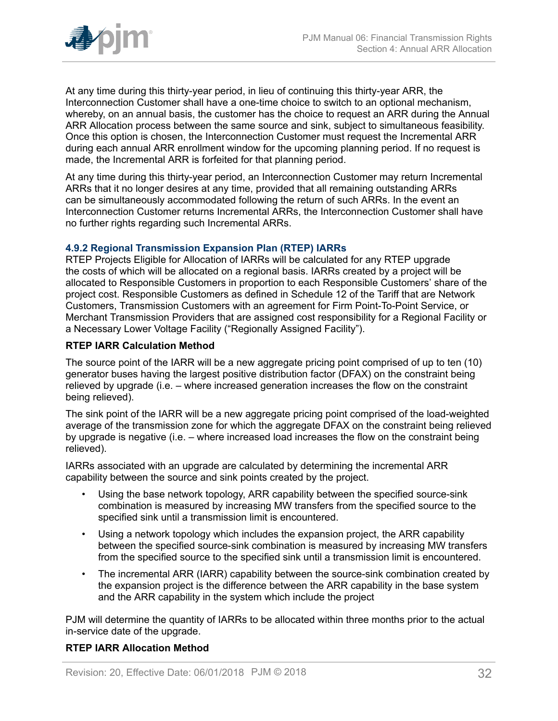

At any time during this thirty-year period, in lieu of continuing this thirty-year ARR, the Interconnection Customer shall have a one-time choice to switch to an optional mechanism, whereby, on an annual basis, the customer has the choice to request an ARR during the Annual ARR Allocation process between the same source and sink, subject to simultaneous feasibility. Once this option is chosen, the Interconnection Customer must request the Incremental ARR during each annual ARR enrollment window for the upcoming planning period. If no request is made, the Incremental ARR is forfeited for that planning period.

At any time during this thirty-year period, an Interconnection Customer may return Incremental ARRs that it no longer desires at any time, provided that all remaining outstanding ARRs can be simultaneously accommodated following the return of such ARRs. In the event an Interconnection Customer returns Incremental ARRs, the Interconnection Customer shall have no further rights regarding such Incremental ARRs.

### <span id="page-31-0"></span>**4.9.2 Regional Transmission Expansion Plan (RTEP) IARRs**

RTEP Projects Eligible for Allocation of IARRs will be calculated for any RTEP upgrade the costs of which will be allocated on a regional basis. IARRs created by a project will be allocated to Responsible Customers in proportion to each Responsible Customers' share of the project cost. Responsible Customers as defined in Schedule 12 of the Tariff that are Network Customers, Transmission Customers with an agreement for Firm Point-To-Point Service, or Merchant Transmission Providers that are assigned cost responsibility for a Regional Facility or a Necessary Lower Voltage Facility ("Regionally Assigned Facility").

### **RTEP IARR Calculation Method**

The source point of the IARR will be a new aggregate pricing point comprised of up to ten (10) generator buses having the largest positive distribution factor (DFAX) on the constraint being relieved by upgrade (i.e. – where increased generation increases the flow on the constraint being relieved).

The sink point of the IARR will be a new aggregate pricing point comprised of the load-weighted average of the transmission zone for which the aggregate DFAX on the constraint being relieved by upgrade is negative (i.e. – where increased load increases the flow on the constraint being relieved).

IARRs associated with an upgrade are calculated by determining the incremental ARR capability between the source and sink points created by the project.

- Using the base network topology, ARR capability between the specified source-sink combination is measured by increasing MW transfers from the specified source to the specified sink until a transmission limit is encountered.
- Using a network topology which includes the expansion project, the ARR capability between the specified source-sink combination is measured by increasing MW transfers from the specified source to the specified sink until a transmission limit is encountered.
- The incremental ARR (IARR) capability between the source-sink combination created by the expansion project is the difference between the ARR capability in the base system and the ARR capability in the system which include the project

PJM will determine the quantity of IARRs to be allocated within three months prior to the actual in-service date of the upgrade.

### **RTEP IARR Allocation Method**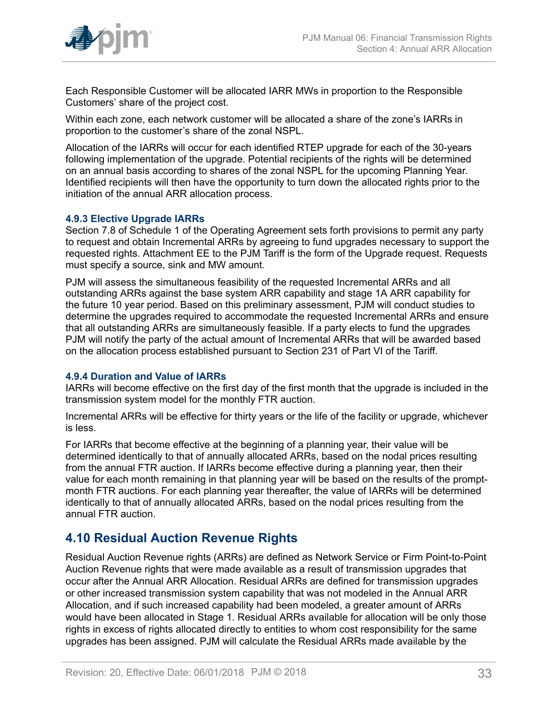

Each Responsible Customer will be allocated IARR MWs in proportion to the Responsible Customers' share of the project cost.

Within each zone, each network customer will be allocated a share of the zone's IARRs in proportion to the customer's share of the zonal NSPL.

Allocation of the IARRs will occur for each identified RTEP upgrade for each of the 30-years following implementation of the upgrade. Potential recipients of the rights will be determined on an annual basis according to shares of the zonal NSPL for the upcoming Planning Year. Identified recipients will then have the opportunity to turn down the allocated rights prior to the initiation of the annual ARR allocation process.

#### <span id="page-32-0"></span>**4.9.3 Elective Upgrade IARRs**

Section 7.8 of Schedule 1 of the Operating Agreement sets forth provisions to permit any party to request and obtain Incremental ARRs by agreeing to fund upgrades necessary to support the requested rights. Attachment EE to the PJM Tariff is the form of the Upgrade request. Requests must specify a source, sink and MW amount.

PJM will assess the simultaneous feasibility of the requested Incremental ARRs and all outstanding ARRs against the base system ARR capability and stage 1A ARR capability for the future 10 year period. Based on this preliminary assessment, PJM will conduct studies to determine the upgrades required to accommodate the requested Incremental ARRs and ensure that all outstanding ARRs are simultaneously feasible. If a party elects to fund the upgrades PJM will notify the party of the actual amount of Incremental ARRs that will be awarded based on the allocation process established pursuant to Section 231 of Part VI of the Tariff.

#### <span id="page-32-1"></span>**4.9.4 Duration and Value of IARRs**

IARRs will become effective on the first day of the first month that the upgrade is included in the transmission system model for the monthly FTR auction.

Incremental ARRs will be effective for thirty years or the life of the facility or upgrade, whichever is less.

For IARRs that become effective at the beginning of a planning year, their value will be determined identically to that of annually allocated ARRs, based on the nodal prices resulting from the annual FTR auction. If IARRs become effective during a planning year, then their value for each month remaining in that planning year will be based on the results of the promptmonth FTR auctions. For each planning year thereafter, the value of IARRs will be determined identically to that of annually allocated ARRs, based on the nodal prices resulting from the annual FTR auction.

### <span id="page-32-2"></span>**4.10 Residual Auction Revenue Rights**

Residual Auction Revenue rights (ARRs) are defined as Network Service or Firm Point-to-Point Auction Revenue rights that were made available as a result of transmission upgrades that occur after the Annual ARR Allocation. Residual ARRs are defined for transmission upgrades or other increased transmission system capability that was not modeled in the Annual ARR Allocation, and if such increased capability had been modeled, a greater amount of ARRs would have been allocated in Stage 1. Residual ARRs available for allocation will be only those rights in excess of rights allocated directly to entities to whom cost responsibility for the same upgrades has been assigned. PJM will calculate the Residual ARRs made available by the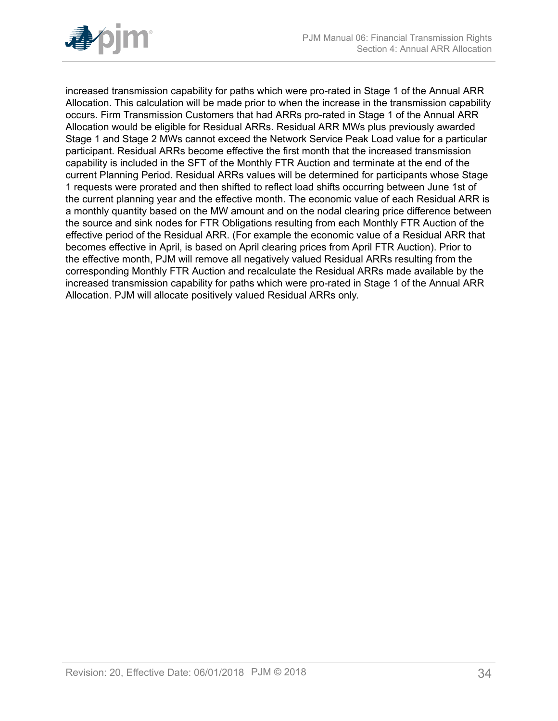

increased transmission capability for paths which were pro-rated in Stage 1 of the Annual ARR Allocation. This calculation will be made prior to when the increase in the transmission capability occurs. Firm Transmission Customers that had ARRs pro-rated in Stage 1 of the Annual ARR Allocation would be eligible for Residual ARRs. Residual ARR MWs plus previously awarded Stage 1 and Stage 2 MWs cannot exceed the Network Service Peak Load value for a particular participant. Residual ARRs become effective the first month that the increased transmission capability is included in the SFT of the Monthly FTR Auction and terminate at the end of the current Planning Period. Residual ARRs values will be determined for participants whose Stage 1 requests were prorated and then shifted to reflect load shifts occurring between June 1st of the current planning year and the effective month. The economic value of each Residual ARR is a monthly quantity based on the MW amount and on the nodal clearing price difference between the source and sink nodes for FTR Obligations resulting from each Monthly FTR Auction of the effective period of the Residual ARR. (For example the economic value of a Residual ARR that becomes effective in April, is based on April clearing prices from April FTR Auction). Prior to the effective month, PJM will remove all negatively valued Residual ARRs resulting from the corresponding Monthly FTR Auction and recalculate the Residual ARRs made available by the increased transmission capability for paths which were pro-rated in Stage 1 of the Annual ARR Allocation. PJM will allocate positively valued Residual ARRs only.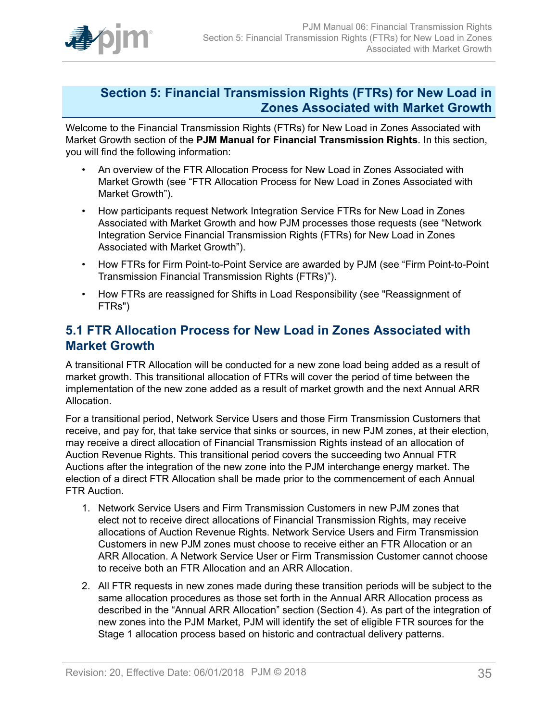

### <span id="page-34-0"></span>**Section 5: Financial Transmission Rights (FTRs) for New Load in Zones Associated with Market Growth**

Welcome to the Financial Transmission Rights (FTRs) for New Load in Zones Associated with Market Growth section of the **PJM Manual for Financial Transmission Rights**. In this section, you will find the following information:

- An overview of the FTR Allocation Process for New Load in Zones Associated with Market Growth (see "FTR Allocation Process for New Load in Zones Associated with Market Growth").
- How participants request Network Integration Service FTRs for New Load in Zones Associated with Market Growth and how PJM processes those requests (see "Network Integration Service Financial Transmission Rights (FTRs) for New Load in Zones Associated with Market Growth").
- How FTRs for Firm Point-to-Point Service are awarded by PJM (see "Firm Point-to-Point Transmission Financial Transmission Rights (FTRs)").
- How FTRs are reassigned for Shifts in Load Responsibility (see "Reassignment of FTRs")

### <span id="page-34-1"></span>**5.1 FTR Allocation Process for New Load in Zones Associated with Market Growth**

A transitional FTR Allocation will be conducted for a new zone load being added as a result of market growth. This transitional allocation of FTRs will cover the period of time between the implementation of the new zone added as a result of market growth and the next Annual ARR Allocation.

For a transitional period, Network Service Users and those Firm Transmission Customers that receive, and pay for, that take service that sinks or sources, in new PJM zones, at their election, may receive a direct allocation of Financial Transmission Rights instead of an allocation of Auction Revenue Rights. This transitional period covers the succeeding two Annual FTR Auctions after the integration of the new zone into the PJM interchange energy market. The election of a direct FTR Allocation shall be made prior to the commencement of each Annual FTR Auction.

- 1. Network Service Users and Firm Transmission Customers in new PJM zones that elect not to receive direct allocations of Financial Transmission Rights, may receive allocations of Auction Revenue Rights. Network Service Users and Firm Transmission Customers in new PJM zones must choose to receive either an FTR Allocation or an ARR Allocation. A Network Service User or Firm Transmission Customer cannot choose to receive both an FTR Allocation and an ARR Allocation.
- 2. All FTR requests in new zones made during these transition periods will be subject to the same allocation procedures as those set forth in the Annual ARR Allocation process as described in the "Annual ARR Allocation" section (Section 4). As part of the integration of new zones into the PJM Market, PJM will identify the set of eligible FTR sources for the Stage 1 allocation process based on historic and contractual delivery patterns.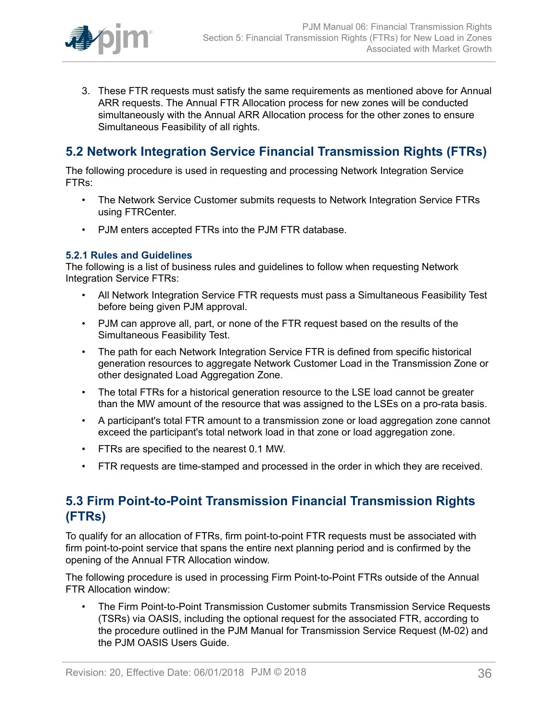

3. These FTR requests must satisfy the same requirements as mentioned above for Annual ARR requests. The Annual FTR Allocation process for new zones will be conducted simultaneously with the Annual ARR Allocation process for the other zones to ensure Simultaneous Feasibility of all rights.

## <span id="page-35-0"></span>**5.2 Network Integration Service Financial Transmission Rights (FTRs)**

The following procedure is used in requesting and processing Network Integration Service FTRs:

- The Network Service Customer submits requests to Network Integration Service FTRs using FTRCenter.
- PJM enters accepted FTRs into the PJM FTR database.

### <span id="page-35-1"></span>**5.2.1 Rules and Guidelines**

The following is a list of business rules and guidelines to follow when requesting Network Integration Service FTRs:

- All Network Integration Service FTR requests must pass a Simultaneous Feasibility Test before being given PJM approval.
- PJM can approve all, part, or none of the FTR request based on the results of the Simultaneous Feasibility Test.
- The path for each Network Integration Service FTR is defined from specific historical generation resources to aggregate Network Customer Load in the Transmission Zone or other designated Load Aggregation Zone.
- The total FTRs for a historical generation resource to the LSE load cannot be greater than the MW amount of the resource that was assigned to the LSEs on a pro-rata basis.
- A participant's total FTR amount to a transmission zone or load aggregation zone cannot exceed the participant's total network load in that zone or load aggregation zone.
- FTRs are specified to the nearest 0.1 MW.
- FTR requests are time-stamped and processed in the order in which they are received.

## <span id="page-35-2"></span>**5.3 Firm Point-to-Point Transmission Financial Transmission Rights (FTRs)**

To qualify for an allocation of FTRs, firm point-to-point FTR requests must be associated with firm point-to-point service that spans the entire next planning period and is confirmed by the opening of the Annual FTR Allocation window.

The following procedure is used in processing Firm Point-to-Point FTRs outside of the Annual FTR Allocation window:

• The Firm Point-to-Point Transmission Customer submits Transmission Service Requests (TSRs) via OASIS, including the optional request for the associated FTR, according to the procedure outlined in the PJM Manual for Transmission Service Request (M-02) and the PJM OASIS Users Guide.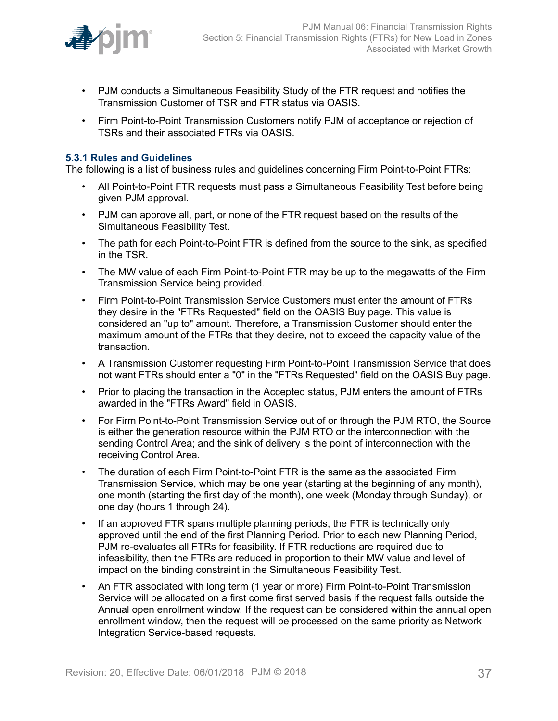

- PJM conducts a Simultaneous Feasibility Study of the FTR request and notifies the Transmission Customer of TSR and FTR status via OASIS.
- Firm Point-to-Point Transmission Customers notify PJM of acceptance or rejection of TSRs and their associated FTRs via OASIS.

### <span id="page-36-0"></span>**5.3.1 Rules and Guidelines**

The following is a list of business rules and guidelines concerning Firm Point-to-Point FTRs:

- All Point-to-Point FTR requests must pass a Simultaneous Feasibility Test before being given PJM approval.
- PJM can approve all, part, or none of the FTR request based on the results of the Simultaneous Feasibility Test.
- The path for each Point-to-Point FTR is defined from the source to the sink, as specified in the TSR.
- The MW value of each Firm Point-to-Point FTR may be up to the megawatts of the Firm Transmission Service being provided.
- Firm Point-to-Point Transmission Service Customers must enter the amount of FTRs they desire in the "FTRs Requested" field on the OASIS Buy page. This value is considered an "up to" amount. Therefore, a Transmission Customer should enter the maximum amount of the FTRs that they desire, not to exceed the capacity value of the transaction.
- A Transmission Customer requesting Firm Point-to-Point Transmission Service that does not want FTRs should enter a "0" in the "FTRs Requested" field on the OASIS Buy page.
- Prior to placing the transaction in the Accepted status, PJM enters the amount of FTRs awarded in the "FTRs Award" field in OASIS.
- For Firm Point-to-Point Transmission Service out of or through the PJM RTO, the Source is either the generation resource within the PJM RTO or the interconnection with the sending Control Area; and the sink of delivery is the point of interconnection with the receiving Control Area.
- The duration of each Firm Point-to-Point FTR is the same as the associated Firm Transmission Service, which may be one year (starting at the beginning of any month), one month (starting the first day of the month), one week (Monday through Sunday), or one day (hours 1 through 24).
- If an approved FTR spans multiple planning periods, the FTR is technically only approved until the end of the first Planning Period. Prior to each new Planning Period, PJM re-evaluates all FTRs for feasibility. If FTR reductions are required due to infeasibility, then the FTRs are reduced in proportion to their MW value and level of impact on the binding constraint in the Simultaneous Feasibility Test.
- An FTR associated with long term (1 year or more) Firm Point-to-Point Transmission Service will be allocated on a first come first served basis if the request falls outside the Annual open enrollment window. If the request can be considered within the annual open enrollment window, then the request will be processed on the same priority as Network Integration Service-based requests.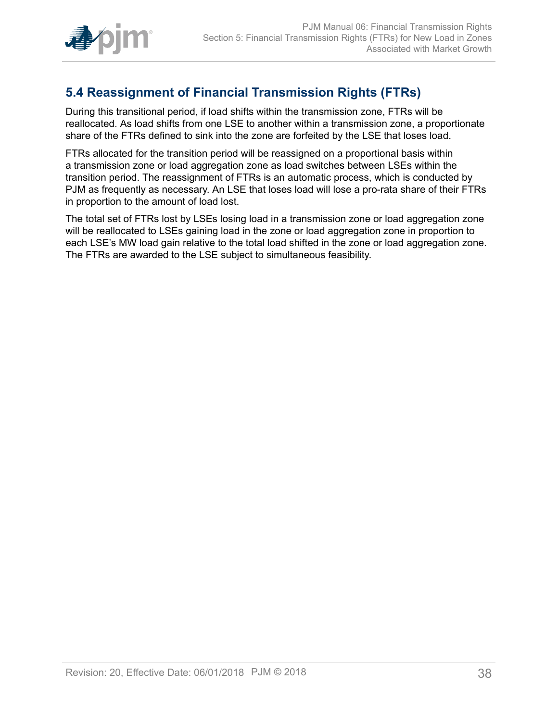

## <span id="page-37-0"></span>**5.4 Reassignment of Financial Transmission Rights (FTRs)**

During this transitional period, if load shifts within the transmission zone, FTRs will be reallocated. As load shifts from one LSE to another within a transmission zone, a proportionate share of the FTRs defined to sink into the zone are forfeited by the LSE that loses load.

FTRs allocated for the transition period will be reassigned on a proportional basis within a transmission zone or load aggregation zone as load switches between LSEs within the transition period. The reassignment of FTRs is an automatic process, which is conducted by PJM as frequently as necessary. An LSE that loses load will lose a pro-rata share of their FTRs in proportion to the amount of load lost.

The total set of FTRs lost by LSEs losing load in a transmission zone or load aggregation zone will be reallocated to LSEs gaining load in the zone or load aggregation zone in proportion to each LSE's MW load gain relative to the total load shifted in the zone or load aggregation zone. The FTRs are awarded to the LSE subject to simultaneous feasibility.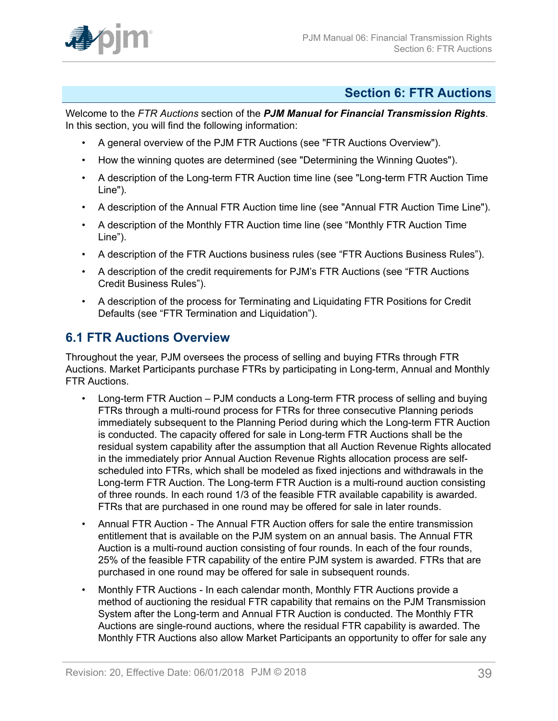

### <span id="page-38-0"></span>**Section 6: FTR Auctions**

Welcome to the *FTR Auctions* section of the *PJM Manual for Financial Transmission Rights*. In this section, you will find the following information:

- A general overview of the PJM FTR Auctions (see "FTR Auctions Overview").
- How the winning quotes are determined (see "Determining the Winning Quotes").
- A description of the Long-term FTR Auction time line (see "Long-term FTR Auction Time Line").
- A description of the Annual FTR Auction time line (see "Annual FTR Auction Time Line").
- A description of the Monthly FTR Auction time line (see "Monthly FTR Auction Time Line").
- A description of the FTR Auctions business rules (see "FTR Auctions Business Rules").
- A description of the credit requirements for PJM's FTR Auctions (see "FTR Auctions Credit Business Rules").
- A description of the process for Terminating and Liquidating FTR Positions for Credit Defaults (see "FTR Termination and Liquidation").

## <span id="page-38-1"></span>**6.1 FTR Auctions Overview**

Throughout the year, PJM oversees the process of selling and buying FTRs through FTR Auctions. Market Participants purchase FTRs by participating in Long-term, Annual and Monthly FTR Auctions.

- Long-term FTR Auction PJM conducts a Long-term FTR process of selling and buying FTRs through a multi-round process for FTRs for three consecutive Planning periods immediately subsequent to the Planning Period during which the Long-term FTR Auction is conducted. The capacity offered for sale in Long-term FTR Auctions shall be the residual system capability after the assumption that all Auction Revenue Rights allocated in the immediately prior Annual Auction Revenue Rights allocation process are selfscheduled into FTRs, which shall be modeled as fixed injections and withdrawals in the Long-term FTR Auction. The Long-term FTR Auction is a multi-round auction consisting of three rounds. In each round 1/3 of the feasible FTR available capability is awarded. FTRs that are purchased in one round may be offered for sale in later rounds.
- Annual FTR Auction The Annual FTR Auction offers for sale the entire transmission entitlement that is available on the PJM system on an annual basis. The Annual FTR Auction is a multi-round auction consisting of four rounds. In each of the four rounds, 25% of the feasible FTR capability of the entire PJM system is awarded. FTRs that are purchased in one round may be offered for sale in subsequent rounds.
- Monthly FTR Auctions In each calendar month, Monthly FTR Auctions provide a method of auctioning the residual FTR capability that remains on the PJM Transmission System after the Long-term and Annual FTR Auction is conducted. The Monthly FTR Auctions are single-round auctions, where the residual FTR capability is awarded. The Monthly FTR Auctions also allow Market Participants an opportunity to offer for sale any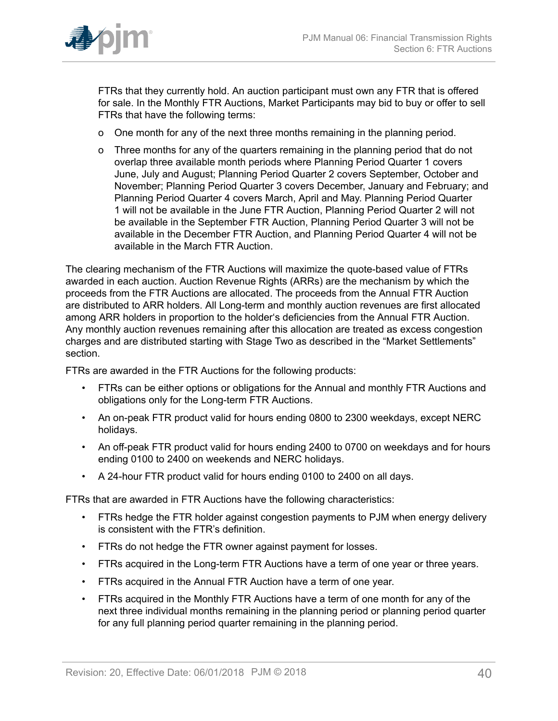

FTRs that they currently hold. An auction participant must own any FTR that is offered for sale. In the Monthly FTR Auctions, Market Participants may bid to buy or offer to sell FTRs that have the following terms:

- o One month for any of the next three months remaining in the planning period.
- o Three months for any of the quarters remaining in the planning period that do not overlap three available month periods where Planning Period Quarter 1 covers June, July and August; Planning Period Quarter 2 covers September, October and November; Planning Period Quarter 3 covers December, January and February; and Planning Period Quarter 4 covers March, April and May. Planning Period Quarter 1 will not be available in the June FTR Auction, Planning Period Quarter 2 will not be available in the September FTR Auction, Planning Period Quarter 3 will not be available in the December FTR Auction, and Planning Period Quarter 4 will not be available in the March FTR Auction.

The clearing mechanism of the FTR Auctions will maximize the quote-based value of FTRs awarded in each auction. Auction Revenue Rights (ARRs) are the mechanism by which the proceeds from the FTR Auctions are allocated. The proceeds from the Annual FTR Auction are distributed to ARR holders. All Long-term and monthly auction revenues are first allocated among ARR holders in proportion to the holder's deficiencies from the Annual FTR Auction. Any monthly auction revenues remaining after this allocation are treated as excess congestion charges and are distributed starting with Stage Two as described in the "Market Settlements" section.

FTRs are awarded in the FTR Auctions for the following products:

- FTRs can be either options or obligations for the Annual and monthly FTR Auctions and obligations only for the Long-term FTR Auctions.
- An on-peak FTR product valid for hours ending 0800 to 2300 weekdays, except NERC holidays.
- An off-peak FTR product valid for hours ending 2400 to 0700 on weekdays and for hours ending 0100 to 2400 on weekends and NERC holidays.
- A 24-hour FTR product valid for hours ending 0100 to 2400 on all days.

FTRs that are awarded in FTR Auctions have the following characteristics:

- FTRs hedge the FTR holder against congestion payments to PJM when energy delivery is consistent with the FTR's definition.
- FTRs do not hedge the FTR owner against payment for losses.
- FTRs acquired in the Long-term FTR Auctions have a term of one year or three years.
- FTRs acquired in the Annual FTR Auction have a term of one year.
- FTRs acquired in the Monthly FTR Auctions have a term of one month for any of the next three individual months remaining in the planning period or planning period quarter for any full planning period quarter remaining in the planning period.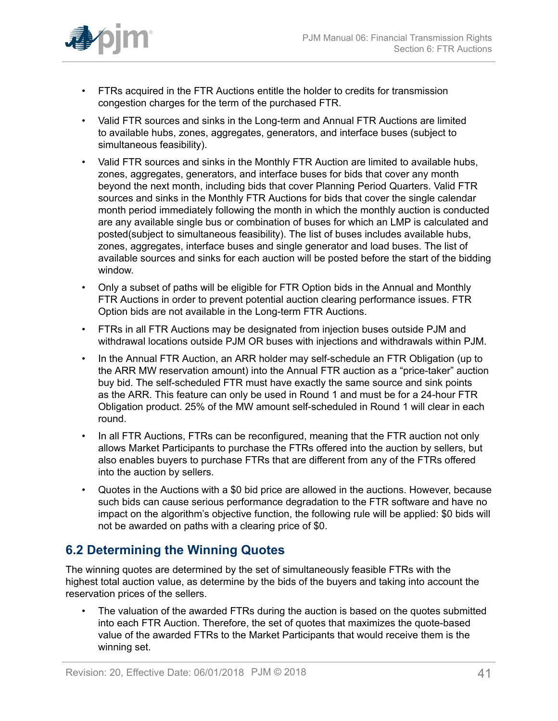

- FTRs acquired in the FTR Auctions entitle the holder to credits for transmission congestion charges for the term of the purchased FTR.
- Valid FTR sources and sinks in the Long-term and Annual FTR Auctions are limited to available hubs, zones, aggregates, generators, and interface buses (subject to simultaneous feasibility).
- Valid FTR sources and sinks in the Monthly FTR Auction are limited to available hubs, zones, aggregates, generators, and interface buses for bids that cover any month beyond the next month, including bids that cover Planning Period Quarters. Valid FTR sources and sinks in the Monthly FTR Auctions for bids that cover the single calendar month period immediately following the month in which the monthly auction is conducted are any available single bus or combination of buses for which an LMP is calculated and posted(subject to simultaneous feasibility). The list of buses includes available hubs, zones, aggregates, interface buses and single generator and load buses. The list of available sources and sinks for each auction will be posted before the start of the bidding window.
- Only a subset of paths will be eligible for FTR Option bids in the Annual and Monthly FTR Auctions in order to prevent potential auction clearing performance issues. FTR Option bids are not available in the Long-term FTR Auctions.
- FTRs in all FTR Auctions may be designated from injection buses outside PJM and withdrawal locations outside PJM OR buses with injections and withdrawals within PJM.
- In the Annual FTR Auction, an ARR holder may self-schedule an FTR Obligation (up to the ARR MW reservation amount) into the Annual FTR auction as a "price-taker" auction buy bid. The self-scheduled FTR must have exactly the same source and sink points as the ARR. This feature can only be used in Round 1 and must be for a 24-hour FTR Obligation product. 25% of the MW amount self-scheduled in Round 1 will clear in each round.
- In all FTR Auctions, FTRs can be reconfigured, meaning that the FTR auction not only allows Market Participants to purchase the FTRs offered into the auction by sellers, but also enables buyers to purchase FTRs that are different from any of the FTRs offered into the auction by sellers.
- Quotes in the Auctions with a \$0 bid price are allowed in the auctions. However, because such bids can cause serious performance degradation to the FTR software and have no impact on the algorithm's objective function, the following rule will be applied: \$0 bids will not be awarded on paths with a clearing price of \$0.

## <span id="page-40-0"></span>**6.2 Determining the Winning Quotes**

The winning quotes are determined by the set of simultaneously feasible FTRs with the highest total auction value, as determine by the bids of the buyers and taking into account the reservation prices of the sellers.

The valuation of the awarded FTRs during the auction is based on the quotes submitted into each FTR Auction. Therefore, the set of quotes that maximizes the quote-based value of the awarded FTRs to the Market Participants that would receive them is the winning set.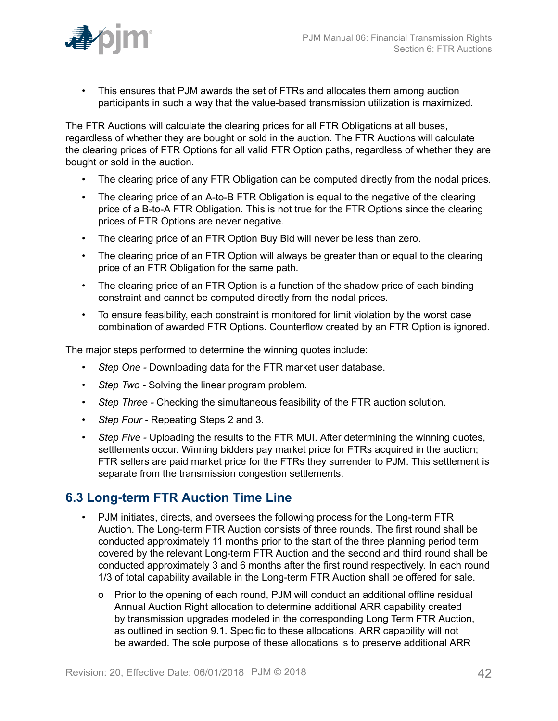

• This ensures that PJM awards the set of FTRs and allocates them among auction participants in such a way that the value-based transmission utilization is maximized.

The FTR Auctions will calculate the clearing prices for all FTR Obligations at all buses, regardless of whether they are bought or sold in the auction. The FTR Auctions will calculate the clearing prices of FTR Options for all valid FTR Option paths, regardless of whether they are bought or sold in the auction.

- The clearing price of any FTR Obligation can be computed directly from the nodal prices.
- The clearing price of an A-to-B FTR Obligation is equal to the negative of the clearing price of a B-to-A FTR Obligation. This is not true for the FTR Options since the clearing prices of FTR Options are never negative.
- The clearing price of an FTR Option Buy Bid will never be less than zero.
- The clearing price of an FTR Option will always be greater than or equal to the clearing price of an FTR Obligation for the same path.
- The clearing price of an FTR Option is a function of the shadow price of each binding constraint and cannot be computed directly from the nodal prices.
- To ensure feasibility, each constraint is monitored for limit violation by the worst case combination of awarded FTR Options. Counterflow created by an FTR Option is ignored.

The major steps performed to determine the winning quotes include:

- *Step One* Downloading data for the FTR market user database.
- *Step Two -* Solving the linear program problem.
- *Step Three* Checking the simultaneous feasibility of the FTR auction solution.
- *Step Four* Repeating Steps 2 and 3.
- *Step Five Uploading the results to the FTR MUI. After determining the winning quotes,* settlements occur. Winning bidders pay market price for FTRs acquired in the auction; FTR sellers are paid market price for the FTRs they surrender to PJM. This settlement is separate from the transmission congestion settlements.

## <span id="page-41-0"></span>**6.3 Long-term FTR Auction Time Line**

- PJM initiates, directs, and oversees the following process for the Long-term FTR Auction. The Long-term FTR Auction consists of three rounds. The first round shall be conducted approximately 11 months prior to the start of the three planning period term covered by the relevant Long-term FTR Auction and the second and third round shall be conducted approximately 3 and 6 months after the first round respectively. In each round 1/3 of total capability available in the Long-term FTR Auction shall be offered for sale.
	- o Prior to the opening of each round, PJM will conduct an additional offline residual Annual Auction Right allocation to determine additional ARR capability created by transmission upgrades modeled in the corresponding Long Term FTR Auction, as outlined in section 9.1. Specific to these allocations, ARR capability will not be awarded. The sole purpose of these allocations is to preserve additional ARR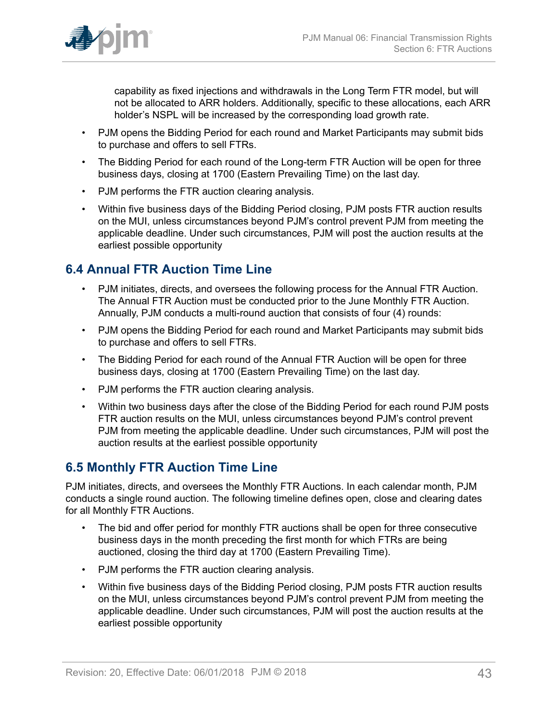

capability as fixed injections and withdrawals in the Long Term FTR model, but will not be allocated to ARR holders. Additionally, specific to these allocations, each ARR holder's NSPL will be increased by the corresponding load growth rate.

- PJM opens the Bidding Period for each round and Market Participants may submit bids to purchase and offers to sell FTRs.
- The Bidding Period for each round of the Long-term FTR Auction will be open for three business days, closing at 1700 (Eastern Prevailing Time) on the last day.
- PJM performs the FTR auction clearing analysis.
- Within five business days of the Bidding Period closing, PJM posts FTR auction results on the MUI, unless circumstances beyond PJM's control prevent PJM from meeting the applicable deadline. Under such circumstances, PJM will post the auction results at the earliest possible opportunity

## <span id="page-42-0"></span>**6.4 Annual FTR Auction Time Line**

- PJM initiates, directs, and oversees the following process for the Annual FTR Auction. The Annual FTR Auction must be conducted prior to the June Monthly FTR Auction. Annually, PJM conducts a multi-round auction that consists of four (4) rounds:
- PJM opens the Bidding Period for each round and Market Participants may submit bids to purchase and offers to sell FTRs.
- The Bidding Period for each round of the Annual FTR Auction will be open for three business days, closing at 1700 (Eastern Prevailing Time) on the last day.
- PJM performs the FTR auction clearing analysis.
- Within two business days after the close of the Bidding Period for each round PJM posts FTR auction results on the MUI, unless circumstances beyond PJM's control prevent PJM from meeting the applicable deadline. Under such circumstances, PJM will post the auction results at the earliest possible opportunity

### <span id="page-42-1"></span>**6.5 Monthly FTR Auction Time Line**

PJM initiates, directs, and oversees the Monthly FTR Auctions. In each calendar month, PJM conducts a single round auction. The following timeline defines open, close and clearing dates for all Monthly FTR Auctions.

- The bid and offer period for monthly FTR auctions shall be open for three consecutive business days in the month preceding the first month for which FTRs are being auctioned, closing the third day at 1700 (Eastern Prevailing Time).
- PJM performs the FTR auction clearing analysis.
- Within five business days of the Bidding Period closing, PJM posts FTR auction results on the MUI, unless circumstances beyond PJM's control prevent PJM from meeting the applicable deadline. Under such circumstances, PJM will post the auction results at the earliest possible opportunity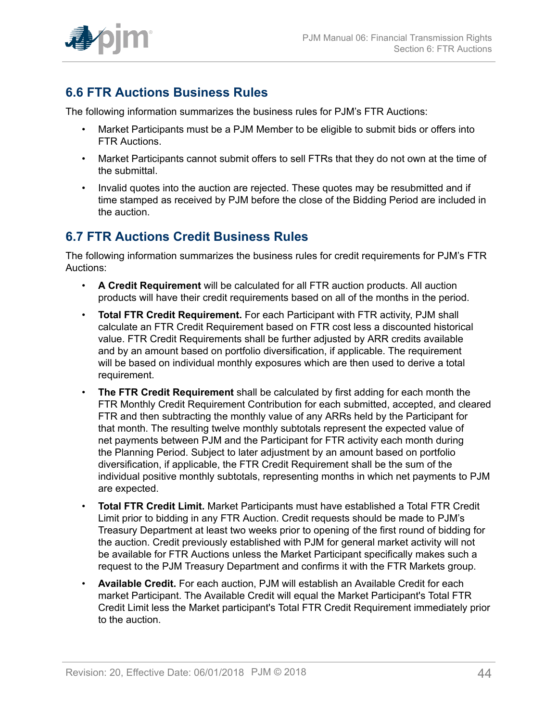

## <span id="page-43-0"></span>**6.6 FTR Auctions Business Rules**

The following information summarizes the business rules for PJM's FTR Auctions:

- Market Participants must be a PJM Member to be eligible to submit bids or offers into FTR Auctions.
- Market Participants cannot submit offers to sell FTRs that they do not own at the time of the submittal.
- Invalid quotes into the auction are rejected. These quotes may be resubmitted and if time stamped as received by PJM before the close of the Bidding Period are included in the auction.

### <span id="page-43-1"></span>**6.7 FTR Auctions Credit Business Rules**

The following information summarizes the business rules for credit requirements for PJM's FTR Auctions:

- **A Credit Requirement** will be calculated for all FTR auction products. All auction products will have their credit requirements based on all of the months in the period.
- **Total FTR Credit Requirement.** For each Participant with FTR activity, PJM shall calculate an FTR Credit Requirement based on FTR cost less a discounted historical value. FTR Credit Requirements shall be further adjusted by ARR credits available and by an amount based on portfolio diversification, if applicable. The requirement will be based on individual monthly exposures which are then used to derive a total requirement.
- **The FTR Credit Requirement** shall be calculated by first adding for each month the FTR Monthly Credit Requirement Contribution for each submitted, accepted, and cleared FTR and then subtracting the monthly value of any ARRs held by the Participant for that month. The resulting twelve monthly subtotals represent the expected value of net payments between PJM and the Participant for FTR activity each month during the Planning Period. Subject to later adjustment by an amount based on portfolio diversification, if applicable, the FTR Credit Requirement shall be the sum of the individual positive monthly subtotals, representing months in which net payments to PJM are expected.
- **Total FTR Credit Limit.** Market Participants must have established a Total FTR Credit Limit prior to bidding in any FTR Auction. Credit requests should be made to PJM's Treasury Department at least two weeks prior to opening of the first round of bidding for the auction. Credit previously established with PJM for general market activity will not be available for FTR Auctions unless the Market Participant specifically makes such a request to the PJM Treasury Department and confirms it with the FTR Markets group.
- **Available Credit.** For each auction, PJM will establish an Available Credit for each market Participant. The Available Credit will equal the Market Participant's Total FTR Credit Limit less the Market participant's Total FTR Credit Requirement immediately prior to the auction.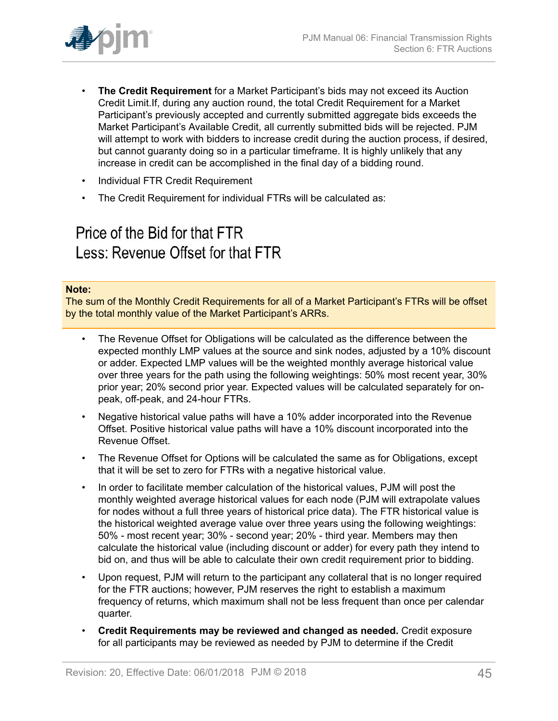

- **The Credit Requirement** for a Market Participant's bids may not exceed its Auction Credit Limit.If, during any auction round, the total Credit Requirement for a Market Participant's previously accepted and currently submitted aggregate bids exceeds the Market Participant's Available Credit, all currently submitted bids will be rejected. PJM will attempt to work with bidders to increase credit during the auction process, if desired, but cannot guaranty doing so in a particular timeframe. It is highly unlikely that any increase in credit can be accomplished in the final day of a bidding round.
- Individual FTR Credit Requirement
- The Credit Requirement for individual FTRs will be calculated as:

# Price of the Bid for that FTR Less: Revenue Offset for that FTR

#### **Note:**

The sum of the Monthly Credit Requirements for all of a Market Participant's FTRs will be offset by the total monthly value of the Market Participant's ARRs.

- The Revenue Offset for Obligations will be calculated as the difference between the expected monthly LMP values at the source and sink nodes, adjusted by a 10% discount or adder. Expected LMP values will be the weighted monthly average historical value over three years for the path using the following weightings: 50% most recent year, 30% prior year; 20% second prior year. Expected values will be calculated separately for onpeak, off-peak, and 24-hour FTRs.
- Negative historical value paths will have a 10% adder incorporated into the Revenue Offset. Positive historical value paths will have a 10% discount incorporated into the Revenue Offset.
- The Revenue Offset for Options will be calculated the same as for Obligations, except that it will be set to zero for FTRs with a negative historical value.
- In order to facilitate member calculation of the historical values, PJM will post the monthly weighted average historical values for each node (PJM will extrapolate values for nodes without a full three years of historical price data). The FTR historical value is the historical weighted average value over three years using the following weightings: 50% - most recent year; 30% - second year; 20% - third year. Members may then calculate the historical value (including discount or adder) for every path they intend to bid on, and thus will be able to calculate their own credit requirement prior to bidding.
- Upon request, PJM will return to the participant any collateral that is no longer required for the FTR auctions; however, PJM reserves the right to establish a maximum frequency of returns, which maximum shall not be less frequent than once per calendar quarter.
- **Credit Requirements may be reviewed and changed as needed.** Credit exposure for all participants may be reviewed as needed by PJM to determine if the Credit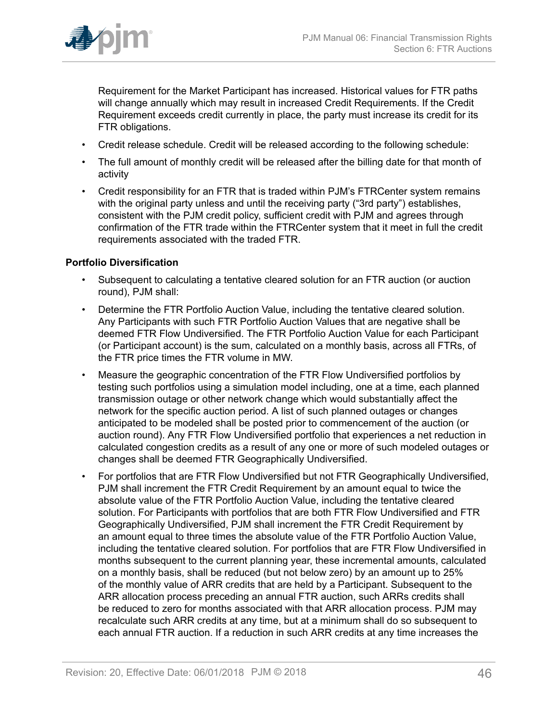

Requirement for the Market Participant has increased. Historical values for FTR paths will change annually which may result in increased Credit Requirements. If the Credit Requirement exceeds credit currently in place, the party must increase its credit for its FTR obligations.

- Credit release schedule. Credit will be released according to the following schedule:
- The full amount of monthly credit will be released after the billing date for that month of activity
- Credit responsibility for an FTR that is traded within PJM's FTRCenter system remains with the original party unless and until the receiving party ("3rd party") establishes, consistent with the PJM credit policy, sufficient credit with PJM and agrees through confirmation of the FTR trade within the FTRCenter system that it meet in full the credit requirements associated with the traded FTR.

### **Portfolio Diversification**

- Subsequent to calculating a tentative cleared solution for an FTR auction (or auction round), PJM shall:
- Determine the FTR Portfolio Auction Value, including the tentative cleared solution. Any Participants with such FTR Portfolio Auction Values that are negative shall be deemed FTR Flow Undiversified. The FTR Portfolio Auction Value for each Participant (or Participant account) is the sum, calculated on a monthly basis, across all FTRs, of the FTR price times the FTR volume in MW.
- Measure the geographic concentration of the FTR Flow Undiversified portfolios by testing such portfolios using a simulation model including, one at a time, each planned transmission outage or other network change which would substantially affect the network for the specific auction period. A list of such planned outages or changes anticipated to be modeled shall be posted prior to commencement of the auction (or auction round). Any FTR Flow Undiversified portfolio that experiences a net reduction in calculated congestion credits as a result of any one or more of such modeled outages or changes shall be deemed FTR Geographically Undiversified.
- For portfolios that are FTR Flow Undiversified but not FTR Geographically Undiversified, PJM shall increment the FTR Credit Requirement by an amount equal to twice the absolute value of the FTR Portfolio Auction Value, including the tentative cleared solution. For Participants with portfolios that are both FTR Flow Undiversified and FTR Geographically Undiversified, PJM shall increment the FTR Credit Requirement by an amount equal to three times the absolute value of the FTR Portfolio Auction Value, including the tentative cleared solution. For portfolios that are FTR Flow Undiversified in months subsequent to the current planning year, these incremental amounts, calculated on a monthly basis, shall be reduced (but not below zero) by an amount up to 25% of the monthly value of ARR credits that are held by a Participant. Subsequent to the ARR allocation process preceding an annual FTR auction, such ARRs credits shall be reduced to zero for months associated with that ARR allocation process. PJM may recalculate such ARR credits at any time, but at a minimum shall do so subsequent to each annual FTR auction. If a reduction in such ARR credits at any time increases the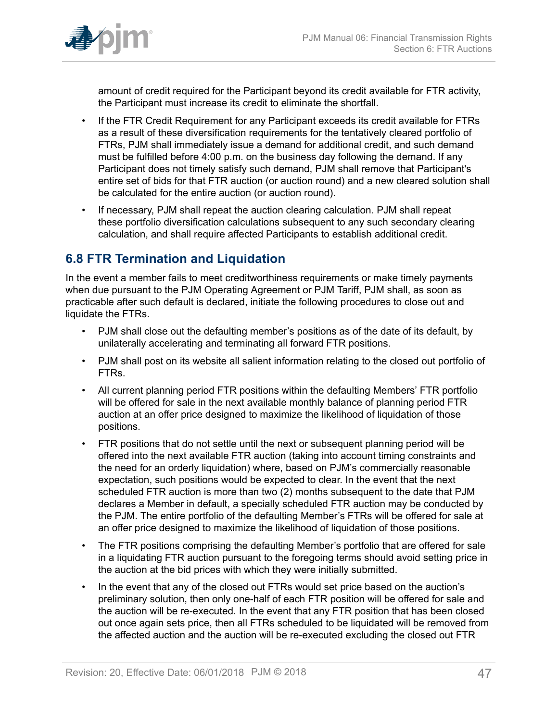

amount of credit required for the Participant beyond its credit available for FTR activity, the Participant must increase its credit to eliminate the shortfall.

- If the FTR Credit Requirement for any Participant exceeds its credit available for FTRs as a result of these diversification requirements for the tentatively cleared portfolio of FTRs, PJM shall immediately issue a demand for additional credit, and such demand must be fulfilled before 4:00 p.m. on the business day following the demand. If any Participant does not timely satisfy such demand, PJM shall remove that Participant's entire set of bids for that FTR auction (or auction round) and a new cleared solution shall be calculated for the entire auction (or auction round).
- If necessary, PJM shall repeat the auction clearing calculation. PJM shall repeat these portfolio diversification calculations subsequent to any such secondary clearing calculation, and shall require affected Participants to establish additional credit.

## <span id="page-46-0"></span>**6.8 FTR Termination and Liquidation**

In the event a member fails to meet creditworthiness requirements or make timely payments when due pursuant to the PJM Operating Agreement or PJM Tariff, PJM shall, as soon as practicable after such default is declared, initiate the following procedures to close out and liquidate the FTRs.

- PJM shall close out the defaulting member's positions as of the date of its default, by unilaterally accelerating and terminating all forward FTR positions.
- PJM shall post on its website all salient information relating to the closed out portfolio of FTRs.
- All current planning period FTR positions within the defaulting Members' FTR portfolio will be offered for sale in the next available monthly balance of planning period FTR auction at an offer price designed to maximize the likelihood of liquidation of those positions.
- FTR positions that do not settle until the next or subsequent planning period will be offered into the next available FTR auction (taking into account timing constraints and the need for an orderly liquidation) where, based on PJM's commercially reasonable expectation, such positions would be expected to clear. In the event that the next scheduled FTR auction is more than two (2) months subsequent to the date that PJM declares a Member in default, a specially scheduled FTR auction may be conducted by the PJM. The entire portfolio of the defaulting Member's FTRs will be offered for sale at an offer price designed to maximize the likelihood of liquidation of those positions.
- The FTR positions comprising the defaulting Member's portfolio that are offered for sale in a liquidating FTR auction pursuant to the foregoing terms should avoid setting price in the auction at the bid prices with which they were initially submitted.
- In the event that any of the closed out FTRs would set price based on the auction's preliminary solution, then only one-half of each FTR position will be offered for sale and the auction will be re-executed. In the event that any FTR position that has been closed out once again sets price, then all FTRs scheduled to be liquidated will be removed from the affected auction and the auction will be re-executed excluding the closed out FTR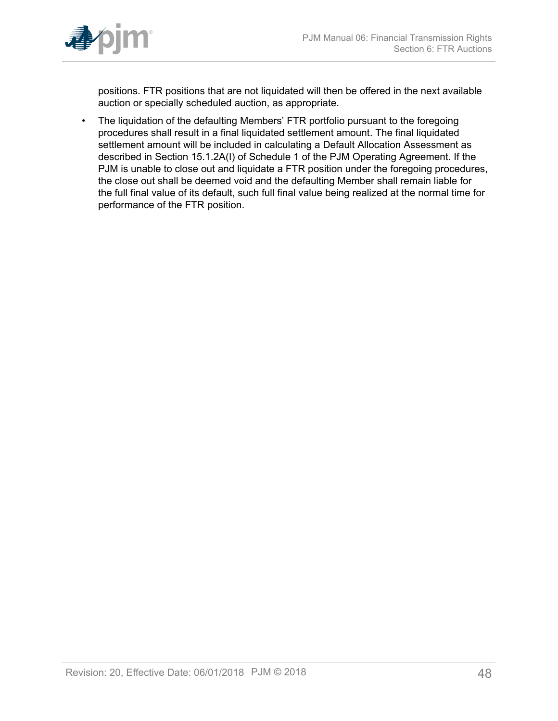

positions. FTR positions that are not liquidated will then be offered in the next available auction or specially scheduled auction, as appropriate.

• The liquidation of the defaulting Members' FTR portfolio pursuant to the foregoing procedures shall result in a final liquidated settlement amount. The final liquidated settlement amount will be included in calculating a Default Allocation Assessment as described in Section 15.1.2A(I) of Schedule 1 of the PJM Operating Agreement. If the PJM is unable to close out and liquidate a FTR position under the foregoing procedures, the close out shall be deemed void and the defaulting Member shall remain liable for the full final value of its default, such full final value being realized at the normal time for performance of the FTR position.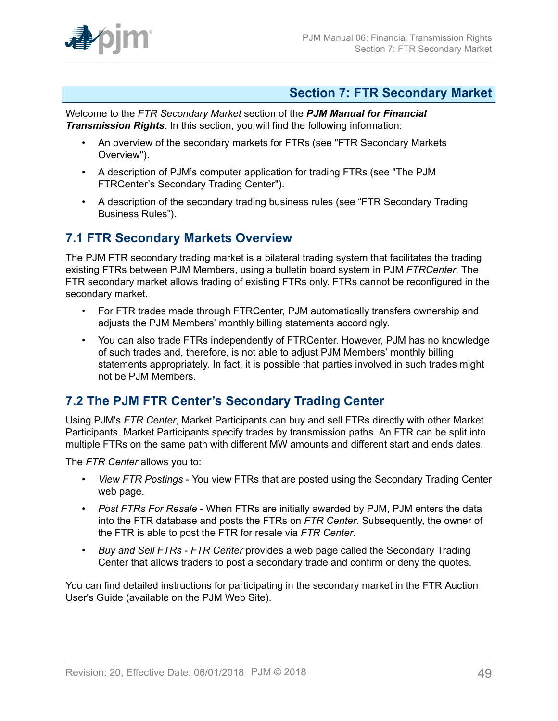

### <span id="page-48-0"></span>**Section 7: FTR Secondary Market**

Welcome to the *FTR Secondary Market* section of the *PJM Manual for Financial Transmission Rights*. In this section, you will find the following information:

- An overview of the secondary markets for FTRs (see "FTR Secondary Markets Overview").
- A description of PJM's computer application for trading FTRs (see "The PJM FTRCenter's Secondary Trading Center").
- A description of the secondary trading business rules (see "FTR Secondary Trading Business Rules").

### <span id="page-48-1"></span>**7.1 FTR Secondary Markets Overview**

The PJM FTR secondary trading market is a bilateral trading system that facilitates the trading existing FTRs between PJM Members, using a bulletin board system in PJM *FTRCenter*. The FTR secondary market allows trading of existing FTRs only. FTRs cannot be reconfigured in the secondary market.

- For FTR trades made through FTRCenter, PJM automatically transfers ownership and adjusts the PJM Members' monthly billing statements accordingly.
- You can also trade FTRs independently of FTRCenter. However, PJM has no knowledge of such trades and, therefore, is not able to adjust PJM Members' monthly billing statements appropriately. In fact, it is possible that parties involved in such trades might not be PJM Members.

## <span id="page-48-2"></span>**7.2 The PJM FTR Center's Secondary Trading Center**

Using PJM's *FTR Center*, Market Participants can buy and sell FTRs directly with other Market Participants. Market Participants specify trades by transmission paths. An FTR can be split into multiple FTRs on the same path with different MW amounts and different start and ends dates.

The *FTR Center* allows you to:

- *View FTR Postings* You view FTRs that are posted using the Secondary Trading Center web page.
- *Post FTRs For Resale* When FTRs are initially awarded by PJM, PJM enters the data into the FTR database and posts the FTRs on *FTR Center*. Subsequently, the owner of the FTR is able to post the FTR for resale via *FTR Center*.
- *Buy and Sell FTRs FTR Center* provides a web page called the Secondary Trading Center that allows traders to post a secondary trade and confirm or deny the quotes.

You can find detailed instructions for participating in the secondary market in the FTR Auction User's Guide (available on the PJM Web Site).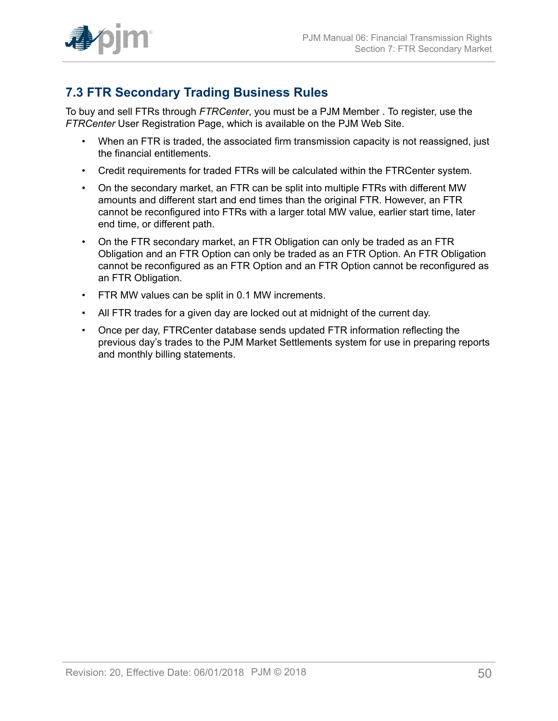

## <span id="page-49-0"></span>**7.3 FTR Secondary Trading Business Rules**

To buy and sell FTRs through *FTRCenter*, you must be a PJM Member . To register, use the *FTRCenter* User Registration Page, which is available on the PJM Web Site.

- When an FTR is traded, the associated firm transmission capacity is not reassigned, just the financial entitlements.
- Credit requirements for traded FTRs will be calculated within the FTRCenter system.
- On the secondary market, an FTR can be split into multiple FTRs with different MW amounts and different start and end times than the original FTR. However, an FTR cannot be reconfigured into FTRs with a larger total MW value, earlier start time, later end time, or different path.
- On the FTR secondary market, an FTR Obligation can only be traded as an FTR Obligation and an FTR Option can only be traded as an FTR Option. An FTR Obligation cannot be reconfigured as an FTR Option and an FTR Option cannot be reconfigured as an FTR Obligation.
- FTR MW values can be split in 0.1 MW increments.
- All FTR trades for a given day are locked out at midnight of the current day.
- Once per day, FTRCenter database sends updated FTR information reflecting the previous day's trades to the PJM Market Settlements system for use in preparing reports and monthly billing statements.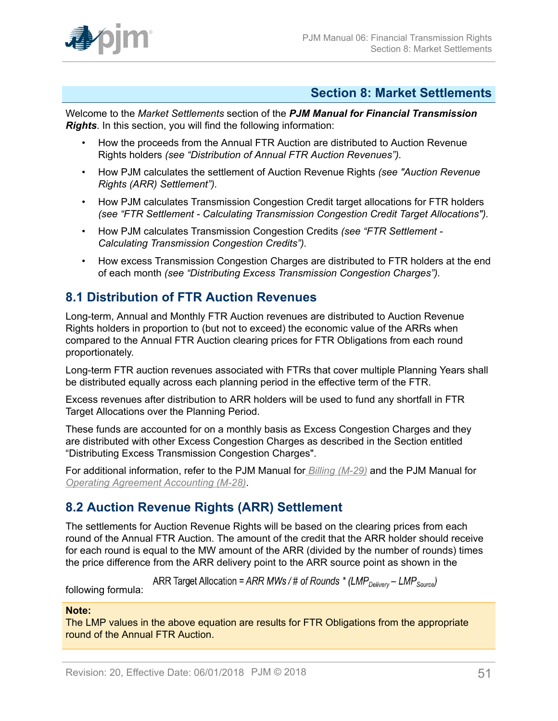

### <span id="page-50-0"></span>**Section 8: Market Settlements**

Welcome to the *Market Settlements* section of the *PJM Manual for Financial Transmission Rights*. In this section, you will find the following information:

- How the proceeds from the Annual FTR Auction are distributed to Auction Revenue Rights holders *(see "Distribution of Annual FTR Auction Revenues").*
- How PJM calculates the settlement of Auction Revenue Rights *(see "Auction Revenue Rights (ARR) Settlement").*
- How PJM calculates Transmission Congestion Credit target allocations for FTR holders *(see "FTR Settlement - Calculating Transmission Congestion Credit Target Allocations").*
- How PJM calculates Transmission Congestion Credits *(see "FTR Settlement - Calculating Transmission Congestion Credits").*
- How excess Transmission Congestion Charges are distributed to FTR holders at the end of each month *(see "Distributing Excess Transmission Congestion Charges").*

## <span id="page-50-1"></span>**8.1 Distribution of FTR Auction Revenues**

Long-term, Annual and Monthly FTR Auction revenues are distributed to Auction Revenue Rights holders in proportion to (but not to exceed) the economic value of the ARRs when compared to the Annual FTR Auction clearing prices for FTR Obligations from each round proportionately.

Long-term FTR auction revenues associated with FTRs that cover multiple Planning Years shall be distributed equally across each planning period in the effective term of the FTR.

Excess revenues after distribution to ARR holders will be used to fund any shortfall in FTR Target Allocations over the Planning Period.

These funds are accounted for on a monthly basis as Excess Congestion Charges and they are distributed with other Excess Congestion Charges as described in the Section entitled "Distributing Excess Transmission Congestion Charges".

For additional information, refer to the PJM Manual for *[Billing \(M-29\)](http://www.pjm.com/~/media/documents/manuals/m29.ashx)* and the PJM Manual for *[Operating Agreement Accounting \(M-28\)](http://www.pjm.com/~/media/documents/manuals/m28.ashx)*.

## <span id="page-50-2"></span>**8.2 Auction Revenue Rights (ARR) Settlement**

The settlements for Auction Revenue Rights will be based on the clearing prices from each round of the Annual FTR Auction. The amount of the credit that the ARR holder should receive for each round is equal to the MW amount of the ARR (divided by the number of rounds) times the price difference from the ARR delivery point to the ARR source point as shown in the

ARR Target Allocation = ARR MWs / # of Rounds \* (LMP<sub>Delivery</sub> – LMP<sub>Source</sub>)

following formula:

### **Note:**

The LMP values in the above equation are results for FTR Obligations from the appropriate round of the Annual FTR Auction.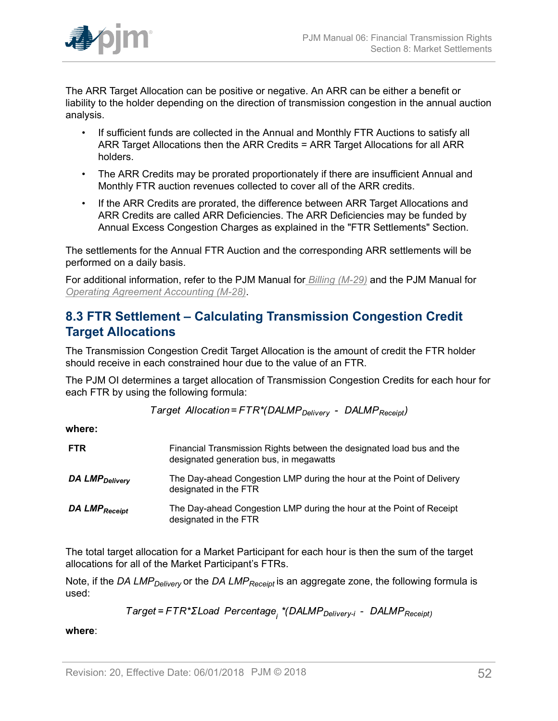

The ARR Target Allocation can be positive or negative. An ARR can be either a benefit or liability to the holder depending on the direction of transmission congestion in the annual auction analysis.

- If sufficient funds are collected in the Annual and Monthly FTR Auctions to satisfy all ARR Target Allocations then the ARR Credits = ARR Target Allocations for all ARR holders.
- The ARR Credits may be prorated proportionately if there are insufficient Annual and Monthly FTR auction revenues collected to cover all of the ARR credits.
- If the ARR Credits are prorated, the difference between ARR Target Allocations and ARR Credits are called ARR Deficiencies. The ARR Deficiencies may be funded by Annual Excess Congestion Charges as explained in the "FTR Settlements" Section.

The settlements for the Annual FTR Auction and the corresponding ARR settlements will be performed on a daily basis.

For additional information, refer to the PJM Manual for *[Billing \(M-29\)](http://www.pjm.com/~/media/documents/manuals/m29.ashx)* and the PJM Manual for *[Operating Agreement Accounting \(M-28\)](http://www.pjm.com/~/media/documents/manuals/m28.ashx)*.

## <span id="page-51-0"></span>**8.3 FTR Settlement – Calculating Transmission Congestion Credit Target Allocations**

The Transmission Congestion Credit Target Allocation is the amount of credit the FTR holder should receive in each constrained hour due to the value of an FTR.

The PJM OI determines a target allocation of Transmission Congestion Credits for each hour for each FTR by using the following formula:

Target Allocation=FTR\*(DALMP<sub>Deliverv</sub> - DALMP<sub>Receipt</sub>)

**where:**

| <b>FTR</b>                 | Financial Transmission Rights between the designated load bus and the<br>designated generation bus, in megawatts |
|----------------------------|------------------------------------------------------------------------------------------------------------------|
| DA LMP <sub>Delivery</sub> | The Day-ahead Congestion LMP during the hour at the Point of Delivery<br>designated in the FTR                   |
| DA LMP <sub>Receipt</sub>  | The Day-ahead Congestion LMP during the hour at the Point of Receipt<br>designated in the FTR                    |

The total target allocation for a Market Participant for each hour is then the sum of the target allocations for all of the Market Participant's FTRs.

Note, if the *DA LMPDelivery* or the *DA LMPReceipt* is an aggregate zone, the following formula is used:

Target=FTR\*ΣLoad Percentage<sub>;</sub> \*(DALMP<sub>Delivery-i</sub> - DALMP<sub>Receipt)</sub>

**where**: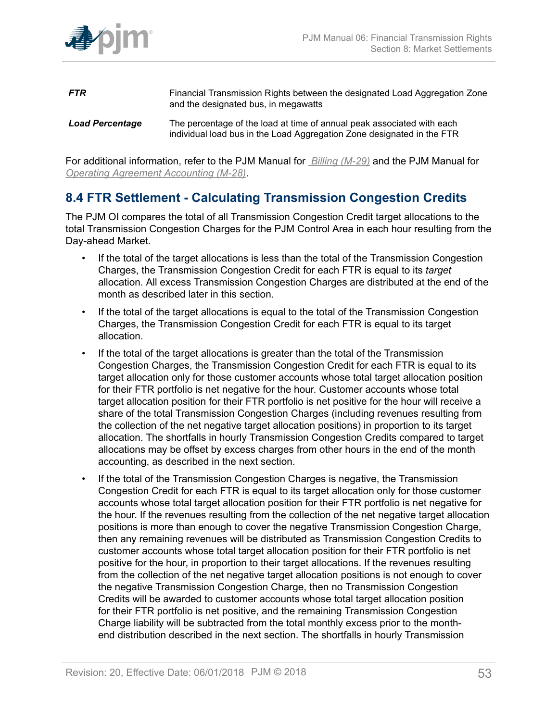

- **FTR** Financial Transmission Rights between the designated Load Aggregation Zone and the designated bus, in megawatts
- *Load Percentage* The percentage of the load at time of annual peak associated with each individual load bus in the Load Aggregation Zone designated in the FTR

For additional information, refer to the PJM Manual for *[Billing \(M-29\)](http://www.pjm.com/~/media/documents/manuals/m29.ashx)* and the PJM Manual for *[Operating Agreement Accounting \(M-28\)](http://www.pjm.com/~/media/documents/manuals/m28.ashx)*.

## <span id="page-52-0"></span>**8.4 FTR Settlement - Calculating Transmission Congestion Credits**

The PJM OI compares the total of all Transmission Congestion Credit target allocations to the total Transmission Congestion Charges for the PJM Control Area in each hour resulting from the Day-ahead Market.

- If the total of the target allocations is less than the total of the Transmission Congestion Charges, the Transmission Congestion Credit for each FTR is equal to its *target* allocation. All excess Transmission Congestion Charges are distributed at the end of the month as described later in this section.
- If the total of the target allocations is equal to the total of the Transmission Congestion Charges, the Transmission Congestion Credit for each FTR is equal to its target allocation.
- If the total of the target allocations is greater than the total of the Transmission Congestion Charges, the Transmission Congestion Credit for each FTR is equal to its target allocation only for those customer accounts whose total target allocation position for their FTR portfolio is net negative for the hour. Customer accounts whose total target allocation position for their FTR portfolio is net positive for the hour will receive a share of the total Transmission Congestion Charges (including revenues resulting from the collection of the net negative target allocation positions) in proportion to its target allocation. The shortfalls in hourly Transmission Congestion Credits compared to target allocations may be offset by excess charges from other hours in the end of the month accounting, as described in the next section.
- If the total of the Transmission Congestion Charges is negative, the Transmission Congestion Credit for each FTR is equal to its target allocation only for those customer accounts whose total target allocation position for their FTR portfolio is net negative for the hour. If the revenues resulting from the collection of the net negative target allocation positions is more than enough to cover the negative Transmission Congestion Charge, then any remaining revenues will be distributed as Transmission Congestion Credits to customer accounts whose total target allocation position for their FTR portfolio is net positive for the hour, in proportion to their target allocations. If the revenues resulting from the collection of the net negative target allocation positions is not enough to cover the negative Transmission Congestion Charge, then no Transmission Congestion Credits will be awarded to customer accounts whose total target allocation position for their FTR portfolio is net positive, and the remaining Transmission Congestion Charge liability will be subtracted from the total monthly excess prior to the monthend distribution described in the next section. The shortfalls in hourly Transmission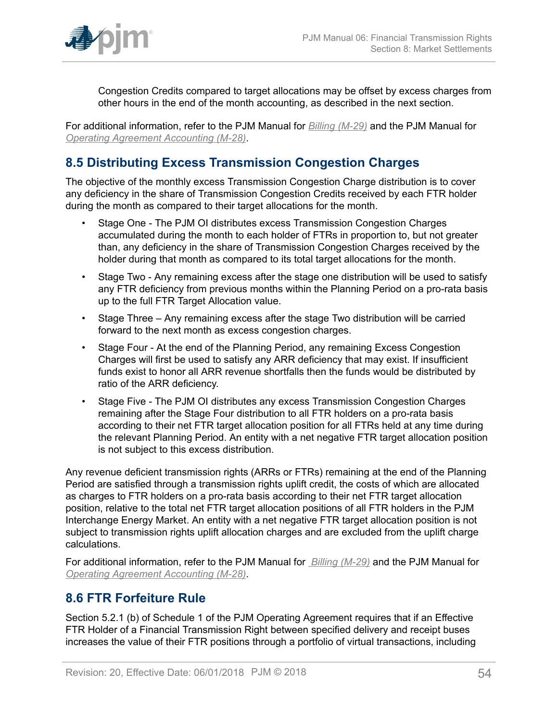

Congestion Credits compared to target allocations may be offset by excess charges from other hours in the end of the month accounting, as described in the next section.

For additional information, refer to the PJM Manual for *[Billing \(M-29\)](http://www.pjm.com/~/media/documents/manuals/m29.ashx)* and the PJM Manual for *[Operating Agreement Accounting \(M-28\)](http://www.pjm.com/~/media/documents/manuals/m28.ashx)*.

## <span id="page-53-0"></span>**8.5 Distributing Excess Transmission Congestion Charges**

The objective of the monthly excess Transmission Congestion Charge distribution is to cover any deficiency in the share of Transmission Congestion Credits received by each FTR holder during the month as compared to their target allocations for the month.

- Stage One The PJM OI distributes excess Transmission Congestion Charges accumulated during the month to each holder of FTRs in proportion to, but not greater than, any deficiency in the share of Transmission Congestion Charges received by the holder during that month as compared to its total target allocations for the month.
- Stage Two Any remaining excess after the stage one distribution will be used to satisfy any FTR deficiency from previous months within the Planning Period on a pro-rata basis up to the full FTR Target Allocation value.
- Stage Three Any remaining excess after the stage Two distribution will be carried forward to the next month as excess congestion charges.
- Stage Four At the end of the Planning Period, any remaining Excess Congestion Charges will first be used to satisfy any ARR deficiency that may exist. If insufficient funds exist to honor all ARR revenue shortfalls then the funds would be distributed by ratio of the ARR deficiency.
- Stage Five The PJM OI distributes any excess Transmission Congestion Charges remaining after the Stage Four distribution to all FTR holders on a pro-rata basis according to their net FTR target allocation position for all FTRs held at any time during the relevant Planning Period. An entity with a net negative FTR target allocation position is not subject to this excess distribution.

Any revenue deficient transmission rights (ARRs or FTRs) remaining at the end of the Planning Period are satisfied through a transmission rights uplift credit, the costs of which are allocated as charges to FTR holders on a pro-rata basis according to their net FTR target allocation position, relative to the total net FTR target allocation positions of all FTR holders in the PJM Interchange Energy Market. An entity with a net negative FTR target allocation position is not subject to transmission rights uplift allocation charges and are excluded from the uplift charge calculations.

For additional information, refer to the PJM Manual for *[Billing \(M-29\)](http://www.pjm.com/~/media/documents/manuals/m29.ashx)* and the PJM Manual for *[Operating Agreement Accounting \(M-28\)](http://www.pjm.com/~/media/documents/manuals/m28.ashx)*.

### <span id="page-53-1"></span>**8.6 FTR Forfeiture Rule**

Section 5.2.1 (b) of Schedule 1 of the PJM Operating Agreement requires that if an Effective FTR Holder of a Financial Transmission Right between specified delivery and receipt buses increases the value of their FTR positions through a portfolio of virtual transactions, including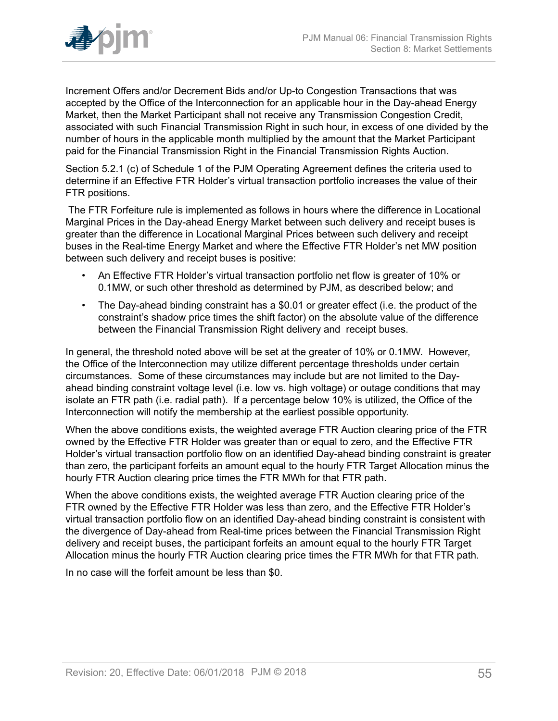

Increment Offers and/or Decrement Bids and/or Up-to Congestion Transactions that was accepted by the Office of the Interconnection for an applicable hour in the Day-ahead Energy Market, then the Market Participant shall not receive any Transmission Congestion Credit, associated with such Financial Transmission Right in such hour, in excess of one divided by the number of hours in the applicable month multiplied by the amount that the Market Participant paid for the Financial Transmission Right in the Financial Transmission Rights Auction.

Section 5.2.1 (c) of Schedule 1 of the PJM Operating Agreement defines the criteria used to determine if an Effective FTR Holder's virtual transaction portfolio increases the value of their FTR positions.

The FTR Forfeiture rule is implemented as follows in hours where the difference in Locational Marginal Prices in the Day-ahead Energy Market between such delivery and receipt buses is greater than the difference in Locational Marginal Prices between such delivery and receipt buses in the Real-time Energy Market and where the Effective FTR Holder's net MW position between such delivery and receipt buses is positive:

- An Effective FTR Holder's virtual transaction portfolio net flow is greater of 10% or 0.1MW, or such other threshold as determined by PJM, as described below; and
- The Day-ahead binding constraint has a \$0.01 or greater effect (i.e. the product of the constraint's shadow price times the shift factor) on the absolute value of the difference between the Financial Transmission Right delivery and receipt buses.

In general, the threshold noted above will be set at the greater of 10% or 0.1MW. However, the Office of the Interconnection may utilize different percentage thresholds under certain circumstances. Some of these circumstances may include but are not limited to the Dayahead binding constraint voltage level (i.e. low vs. high voltage) or outage conditions that may isolate an FTR path (i.e. radial path). If a percentage below 10% is utilized, the Office of the Interconnection will notify the membership at the earliest possible opportunity.

When the above conditions exists, the weighted average FTR Auction clearing price of the FTR owned by the Effective FTR Holder was greater than or equal to zero, and the Effective FTR Holder's virtual transaction portfolio flow on an identified Day-ahead binding constraint is greater than zero, the participant forfeits an amount equal to the hourly FTR Target Allocation minus the hourly FTR Auction clearing price times the FTR MWh for that FTR path.

When the above conditions exists, the weighted average FTR Auction clearing price of the FTR owned by the Effective FTR Holder was less than zero, and the Effective FTR Holder's virtual transaction portfolio flow on an identified Day-ahead binding constraint is consistent with the divergence of Day-ahead from Real-time prices between the Financial Transmission Right delivery and receipt buses, the participant forfeits an amount equal to the hourly FTR Target Allocation minus the hourly FTR Auction clearing price times the FTR MWh for that FTR path.

In no case will the forfeit amount be less than \$0.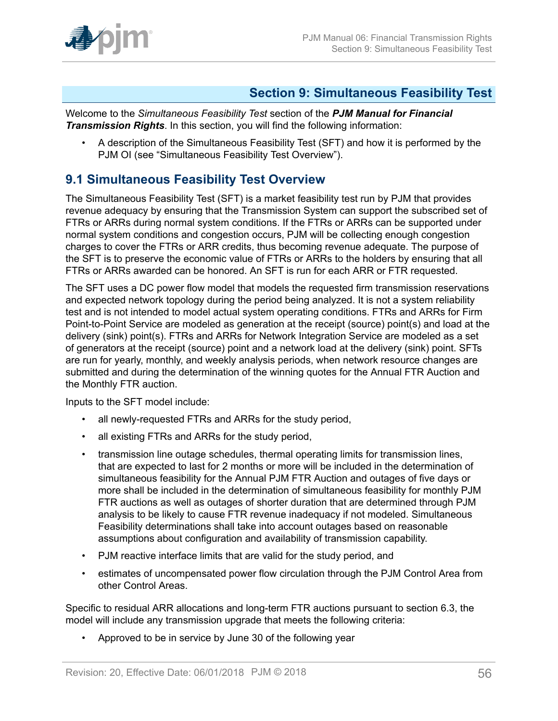

### <span id="page-55-0"></span>**Section 9: Simultaneous Feasibility Test**

Welcome to the *Simultaneous Feasibility Test* section of the *PJM Manual for Financial Transmission Rights*. In this section, you will find the following information:

• A description of the Simultaneous Feasibility Test (SFT) and how it is performed by the PJM OI (see "Simultaneous Feasibility Test Overview").

## <span id="page-55-1"></span>**9.1 Simultaneous Feasibility Test Overview**

The Simultaneous Feasibility Test (SFT) is a market feasibility test run by PJM that provides revenue adequacy by ensuring that the Transmission System can support the subscribed set of FTRs or ARRs during normal system conditions. If the FTRs or ARRs can be supported under normal system conditions and congestion occurs, PJM will be collecting enough congestion charges to cover the FTRs or ARR credits, thus becoming revenue adequate. The purpose of the SFT is to preserve the economic value of FTRs or ARRs to the holders by ensuring that all FTRs or ARRs awarded can be honored. An SFT is run for each ARR or FTR requested.

The SFT uses a DC power flow model that models the requested firm transmission reservations and expected network topology during the period being analyzed. It is not a system reliability test and is not intended to model actual system operating conditions. FTRs and ARRs for Firm Point-to-Point Service are modeled as generation at the receipt (source) point(s) and load at the delivery (sink) point(s). FTRs and ARRs for Network Integration Service are modeled as a set of generators at the receipt (source) point and a network load at the delivery (sink) point. SFTs are run for yearly, monthly, and weekly analysis periods, when network resource changes are submitted and during the determination of the winning quotes for the Annual FTR Auction and the Monthly FTR auction.

Inputs to the SFT model include:

- all newly-requested FTRs and ARRs for the study period,
- all existing FTRs and ARRs for the study period,
- transmission line outage schedules, thermal operating limits for transmission lines, that are expected to last for 2 months or more will be included in the determination of simultaneous feasibility for the Annual PJM FTR Auction and outages of five days or more shall be included in the determination of simultaneous feasibility for monthly PJM FTR auctions as well as outages of shorter duration that are determined through PJM analysis to be likely to cause FTR revenue inadequacy if not modeled. Simultaneous Feasibility determinations shall take into account outages based on reasonable assumptions about configuration and availability of transmission capability.
- PJM reactive interface limits that are valid for the study period, and
- estimates of uncompensated power flow circulation through the PJM Control Area from other Control Areas.

Specific to residual ARR allocations and long-term FTR auctions pursuant to section 6.3, the model will include any transmission upgrade that meets the following criteria:

• Approved to be in service by June 30 of the following year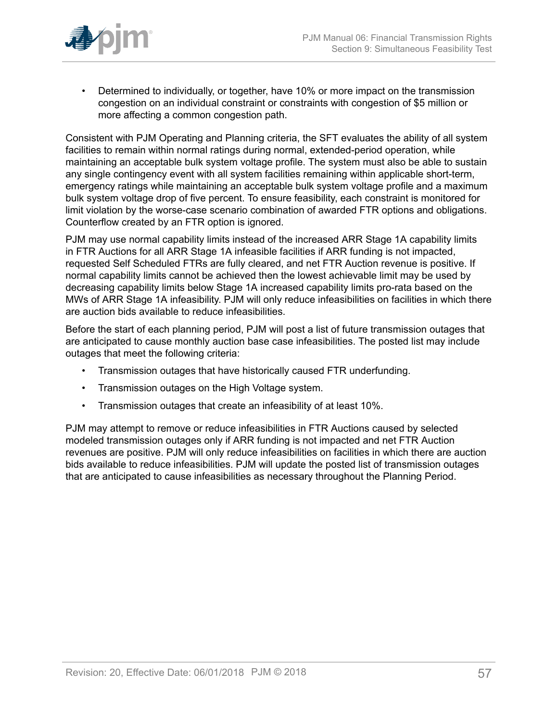

• Determined to individually, or together, have 10% or more impact on the transmission congestion on an individual constraint or constraints with congestion of \$5 million or more affecting a common congestion path.

Consistent with PJM Operating and Planning criteria, the SFT evaluates the ability of all system facilities to remain within normal ratings during normal, extended-period operation, while maintaining an acceptable bulk system voltage profile. The system must also be able to sustain any single contingency event with all system facilities remaining within applicable short-term, emergency ratings while maintaining an acceptable bulk system voltage profile and a maximum bulk system voltage drop of five percent. To ensure feasibility, each constraint is monitored for limit violation by the worse-case scenario combination of awarded FTR options and obligations. Counterflow created by an FTR option is ignored.

PJM may use normal capability limits instead of the increased ARR Stage 1A capability limits in FTR Auctions for all ARR Stage 1A infeasible facilities if ARR funding is not impacted, requested Self Scheduled FTRs are fully cleared, and net FTR Auction revenue is positive. If normal capability limits cannot be achieved then the lowest achievable limit may be used by decreasing capability limits below Stage 1A increased capability limits pro-rata based on the MWs of ARR Stage 1A infeasibility. PJM will only reduce infeasibilities on facilities in which there are auction bids available to reduce infeasibilities.

Before the start of each planning period, PJM will post a list of future transmission outages that are anticipated to cause monthly auction base case infeasibilities. The posted list may include outages that meet the following criteria:

- Transmission outages that have historically caused FTR underfunding.
- Transmission outages on the High Voltage system.
- Transmission outages that create an infeasibility of at least 10%.

PJM may attempt to remove or reduce infeasibilities in FTR Auctions caused by selected modeled transmission outages only if ARR funding is not impacted and net FTR Auction revenues are positive. PJM will only reduce infeasibilities on facilities in which there are auction bids available to reduce infeasibilities. PJM will update the posted list of transmission outages that are anticipated to cause infeasibilities as necessary throughout the Planning Period.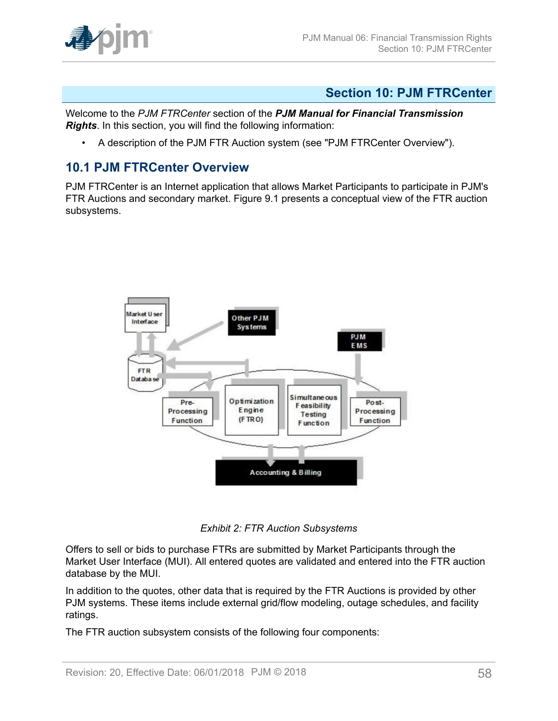

## <span id="page-57-0"></span>**Section 10: PJM FTRCenter**

Welcome to the *PJM FTRCenter* section of the *PJM Manual for Financial Transmission Rights*. In this section, you will find the following information:

• A description of the PJM FTR Auction system (see "PJM FTRCenter Overview").

### <span id="page-57-1"></span>**10.1 PJM FTRCenter Overview**

<span id="page-57-2"></span>PJM FTRCenter is an Internet application that allows Market Participants to participate in PJM's FTR Auctions and secondary market. Figure 9.1 presents a conceptual view of the FTR auction subsystems.



*Exhibit 2: FTR Auction Subsystems*

Offers to sell or bids to purchase FTRs are submitted by Market Participants through the Market User Interface (MUI). All entered quotes are validated and entered into the FTR auction database by the MUI.

In addition to the quotes, other data that is required by the FTR Auctions is provided by other PJM systems. These items include external grid/flow modeling, outage schedules, and facility ratings.

The FTR auction subsystem consists of the following four components: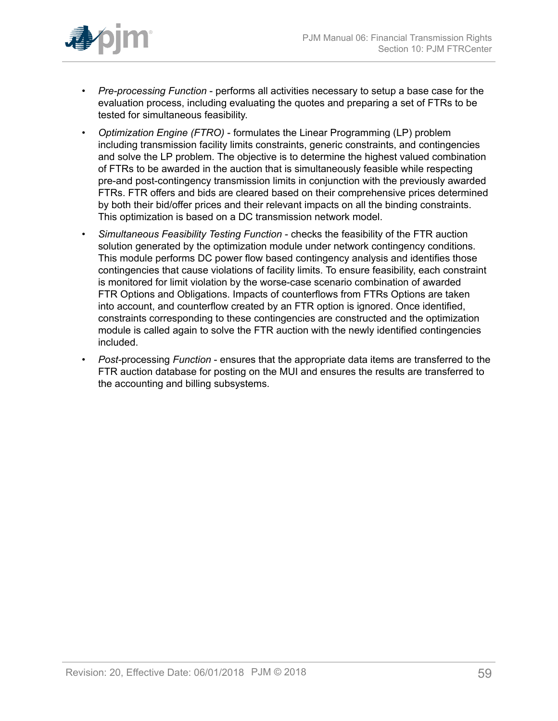

- *Pre-processing Function* performs all activities necessary to setup a base case for the evaluation process, including evaluating the quotes and preparing a set of FTRs to be tested for simultaneous feasibility.
- *Optimization Engine (FTRO)* formulates the Linear Programming (LP) problem including transmission facility limits constraints, generic constraints, and contingencies and solve the LP problem. The objective is to determine the highest valued combination of FTRs to be awarded in the auction that is simultaneously feasible while respecting pre-and post-contingency transmission limits in conjunction with the previously awarded FTRs. FTR offers and bids are cleared based on their comprehensive prices determined by both their bid/offer prices and their relevant impacts on all the binding constraints. This optimization is based on a DC transmission network model.
- *Simultaneous Feasibility Testing Function* checks the feasibility of the FTR auction solution generated by the optimization module under network contingency conditions. This module performs DC power flow based contingency analysis and identifies those contingencies that cause violations of facility limits. To ensure feasibility, each constraint is monitored for limit violation by the worse-case scenario combination of awarded FTR Options and Obligations. Impacts of counterflows from FTRs Options are taken into account, and counterflow created by an FTR option is ignored. Once identified, constraints corresponding to these contingencies are constructed and the optimization module is called again to solve the FTR auction with the newly identified contingencies included.
- *Post-*processing *Function* ensures that the appropriate data items are transferred to the FTR auction database for posting on the MUI and ensures the results are transferred to the accounting and billing subsystems.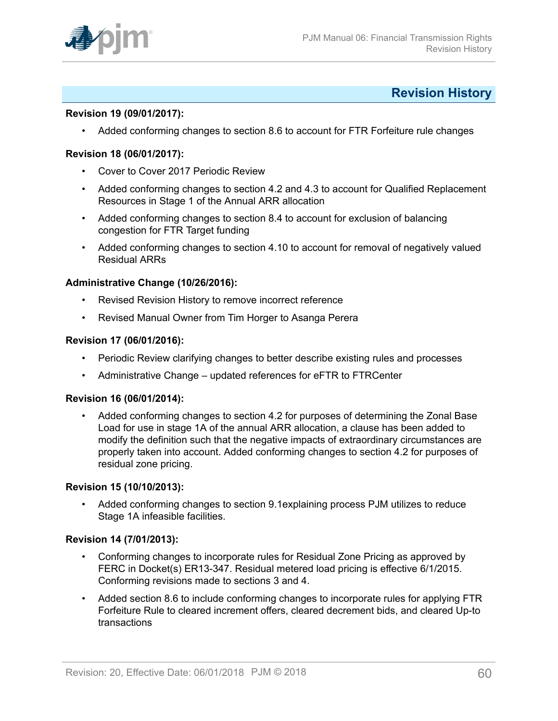

### <span id="page-59-0"></span>**Revision History**

#### **Revision 19 (09/01/2017):**

• Added conforming changes to section 8.6 to account for FTR Forfeiture rule changes

#### **Revision 18 (06/01/2017):**

- Cover to Cover 2017 Periodic Review
- Added conforming changes to section 4.2 and 4.3 to account for Qualified Replacement Resources in Stage 1 of the Annual ARR allocation
- Added conforming changes to section 8.4 to account for exclusion of balancing congestion for FTR Target funding
- Added conforming changes to section 4.10 to account for removal of negatively valued Residual ARRs

#### **Administrative Change (10/26/2016):**

- Revised Revision History to remove incorrect reference
- Revised Manual Owner from Tim Horger to Asanga Perera

#### **Revision 17 (06/01/2016):**

- Periodic Review clarifying changes to better describe existing rules and processes
- Administrative Change updated references for eFTR to FTRCenter

#### **Revision 16 (06/01/2014):**

• Added conforming changes to section 4.2 for purposes of determining the Zonal Base Load for use in stage 1A of the annual ARR allocation, a clause has been added to modify the definition such that the negative impacts of extraordinary circumstances are properly taken into account. Added conforming changes to section 4.2 for purposes of residual zone pricing.

#### **Revision 15 (10/10/2013):**

• Added conforming changes to section 9.1explaining process PJM utilizes to reduce Stage 1A infeasible facilities.

#### **Revision 14 (7/01/2013):**

- Conforming changes to incorporate rules for Residual Zone Pricing as approved by FERC in Docket(s) ER13-347. Residual metered load pricing is effective 6/1/2015. Conforming revisions made to sections 3 and 4.
- Added section 8.6 to include conforming changes to incorporate rules for applying FTR Forfeiture Rule to cleared increment offers, cleared decrement bids, and cleared Up-to transactions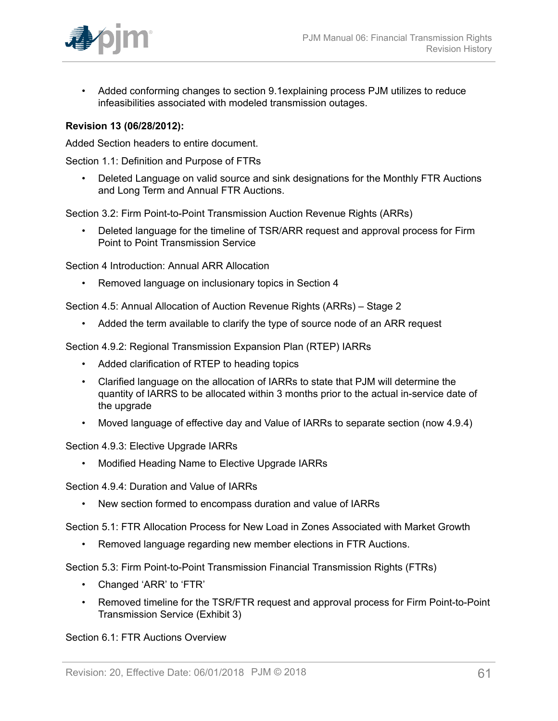

• Added conforming changes to section 9.1explaining process PJM utilizes to reduce infeasibilities associated with modeled transmission outages.

### **Revision 13 (06/28/2012):**

Added Section headers to entire document.

Section 1.1: Definition and Purpose of FTRs

• Deleted Language on valid source and sink designations for the Monthly FTR Auctions and Long Term and Annual FTR Auctions.

Section 3.2: Firm Point-to-Point Transmission Auction Revenue Rights (ARRs)

• Deleted language for the timeline of TSR/ARR request and approval process for Firm Point to Point Transmission Service

Section 4 Introduction: Annual ARR Allocation

• Removed language on inclusionary topics in Section 4

Section 4.5: Annual Allocation of Auction Revenue Rights (ARRs) – Stage 2

• Added the term available to clarify the type of source node of an ARR request

Section 4.9.2: Regional Transmission Expansion Plan (RTEP) IARRs

- Added clarification of RTEP to heading topics
- Clarified language on the allocation of IARRs to state that PJM will determine the quantity of IARRS to be allocated within 3 months prior to the actual in-service date of the upgrade
- Moved language of effective day and Value of IARRs to separate section (now 4.9.4)

Section 4.9.3: Elective Upgrade IARRs

• Modified Heading Name to Elective Upgrade IARRs

Section 4.9.4: Duration and Value of IARRs

• New section formed to encompass duration and value of IARRs

Section 5.1: FTR Allocation Process for New Load in Zones Associated with Market Growth

• Removed language regarding new member elections in FTR Auctions.

Section 5.3: Firm Point-to-Point Transmission Financial Transmission Rights (FTRs)

- Changed 'ARR' to 'FTR'
- Removed timeline for the TSR/FTR request and approval process for Firm Point-to-Point Transmission Service (Exhibit 3)

Section 6.1: FTR Auctions Overview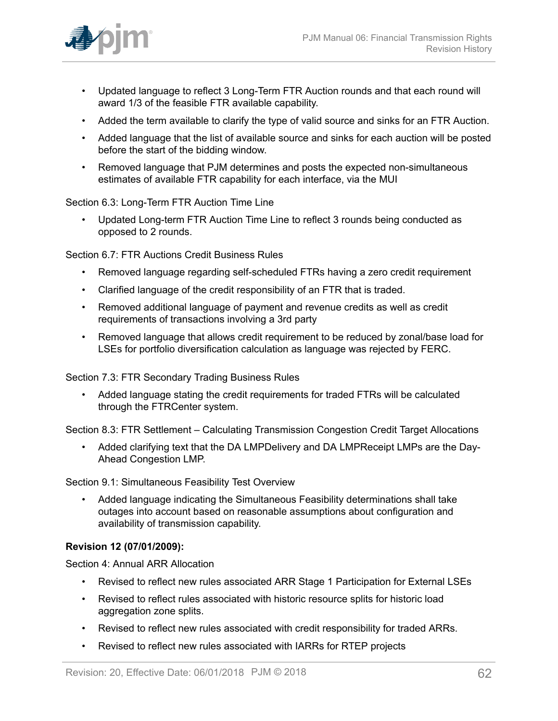

- Updated language to reflect 3 Long-Term FTR Auction rounds and that each round will award 1/3 of the feasible FTR available capability.
- Added the term available to clarify the type of valid source and sinks for an FTR Auction.
- Added language that the list of available source and sinks for each auction will be posted before the start of the bidding window.
- Removed language that PJM determines and posts the expected non-simultaneous estimates of available FTR capability for each interface, via the MUI

#### Section 6.3: Long-Term FTR Auction Time Line

• Updated Long-term FTR Auction Time Line to reflect 3 rounds being conducted as opposed to 2 rounds.

Section 6.7: FTR Auctions Credit Business Rules

- Removed language regarding self-scheduled FTRs having a zero credit requirement
- Clarified language of the credit responsibility of an FTR that is traded.
- Removed additional language of payment and revenue credits as well as credit requirements of transactions involving a 3rd party
- Removed language that allows credit requirement to be reduced by zonal/base load for LSEs for portfolio diversification calculation as language was rejected by FERC.

Section 7.3: FTR Secondary Trading Business Rules

• Added language stating the credit requirements for traded FTRs will be calculated through the FTRCenter system.

Section 8.3: FTR Settlement – Calculating Transmission Congestion Credit Target Allocations

• Added clarifying text that the DA LMPDelivery and DA LMPReceipt LMPs are the Day-Ahead Congestion LMP.

Section 9.1: Simultaneous Feasibility Test Overview

• Added language indicating the Simultaneous Feasibility determinations shall take outages into account based on reasonable assumptions about configuration and availability of transmission capability.

### **Revision 12 (07/01/2009):**

Section 4: Annual ARR Allocation

- Revised to reflect new rules associated ARR Stage 1 Participation for External LSEs
- Revised to reflect rules associated with historic resource splits for historic load aggregation zone splits.
- Revised to reflect new rules associated with credit responsibility for traded ARRs.
- Revised to reflect new rules associated with IARRs for RTEP projects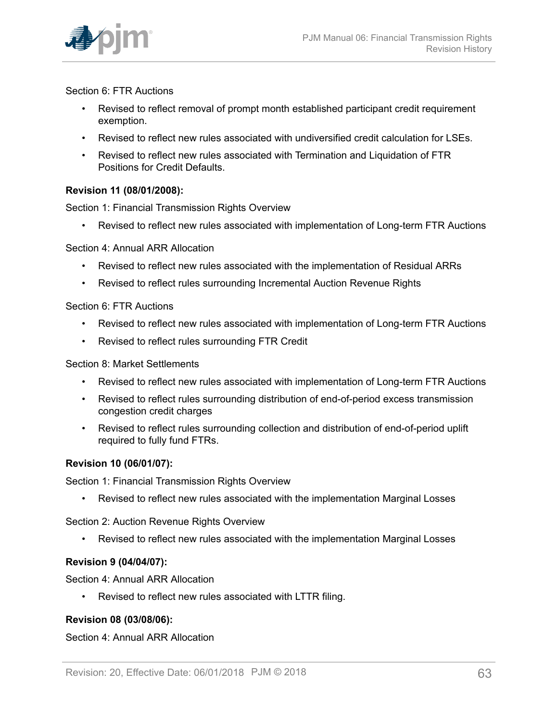

#### Section 6: FTR Auctions

- Revised to reflect removal of prompt month established participant credit requirement exemption.
- Revised to reflect new rules associated with undiversified credit calculation for LSEs.
- Revised to reflect new rules associated with Termination and Liquidation of FTR Positions for Credit Defaults.

### **Revision 11 (08/01/2008):**

Section 1: Financial Transmission Rights Overview

• Revised to reflect new rules associated with implementation of Long-term FTR Auctions

#### Section 4: Annual ARR Allocation

- Revised to reflect new rules associated with the implementation of Residual ARRs
- Revised to reflect rules surrounding Incremental Auction Revenue Rights

#### Section 6: FTR Auctions

- Revised to reflect new rules associated with implementation of Long-term FTR Auctions
- Revised to reflect rules surrounding FTR Credit

#### Section 8: Market Settlements

- Revised to reflect new rules associated with implementation of Long-term FTR Auctions
- Revised to reflect rules surrounding distribution of end-of-period excess transmission congestion credit charges
- Revised to reflect rules surrounding collection and distribution of end-of-period uplift required to fully fund FTRs.

### **Revision 10 (06/01/07):**

Section 1: Financial Transmission Rights Overview

• Revised to reflect new rules associated with the implementation Marginal Losses

Section 2: Auction Revenue Rights Overview

• Revised to reflect new rules associated with the implementation Marginal Losses

### **Revision 9 (04/04/07):**

Section 4: Annual ARR Allocation

• Revised to reflect new rules associated with LTTR filing.

### **Revision 08 (03/08/06):**

### Section 4: Annual ARR Allocation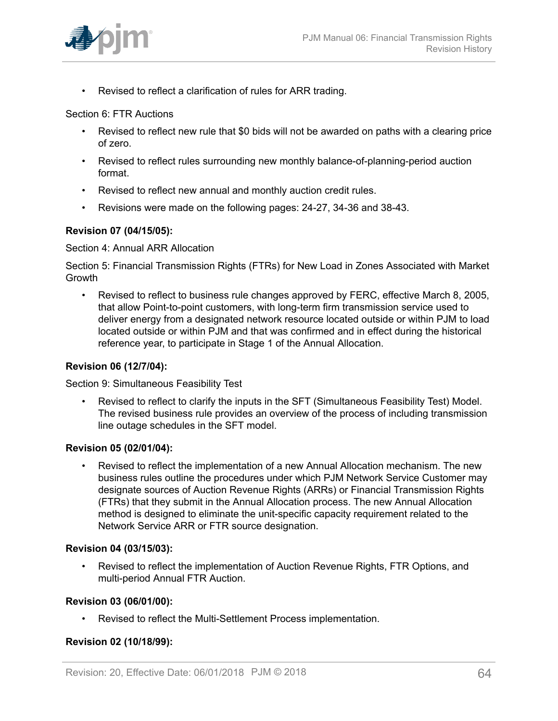

• Revised to reflect a clarification of rules for ARR trading.

#### Section 6: FTR Auctions

- Revised to reflect new rule that \$0 bids will not be awarded on paths with a clearing price of zero.
- Revised to reflect rules surrounding new monthly balance-of-planning-period auction format.
- Revised to reflect new annual and monthly auction credit rules.
- Revisions were made on the following pages: 24-27, 34-36 and 38-43.

### **Revision 07 (04/15/05):**

#### Section 4: Annual ARR Allocation

Section 5: Financial Transmission Rights (FTRs) for New Load in Zones Associated with Market Growth

• Revised to reflect to business rule changes approved by FERC, effective March 8, 2005, that allow Point-to-point customers, with long-term firm transmission service used to deliver energy from a designated network resource located outside or within PJM to load located outside or within PJM and that was confirmed and in effect during the historical reference year, to participate in Stage 1 of the Annual Allocation.

#### **Revision 06 (12/7/04):**

Section 9: Simultaneous Feasibility Test

• Revised to reflect to clarify the inputs in the SFT (Simultaneous Feasibility Test) Model. The revised business rule provides an overview of the process of including transmission line outage schedules in the SFT model.

### **Revision 05 (02/01/04):**

• Revised to reflect the implementation of a new Annual Allocation mechanism. The new business rules outline the procedures under which PJM Network Service Customer may designate sources of Auction Revenue Rights (ARRs) or Financial Transmission Rights (FTRs) that they submit in the Annual Allocation process. The new Annual Allocation method is designed to eliminate the unit-specific capacity requirement related to the Network Service ARR or FTR source designation.

### **Revision 04 (03/15/03):**

• Revised to reflect the implementation of Auction Revenue Rights, FTR Options, and multi-period Annual FTR Auction.

#### **Revision 03 (06/01/00):**

• Revised to reflect the Multi-Settlement Process implementation.

### **Revision 02 (10/18/99):**